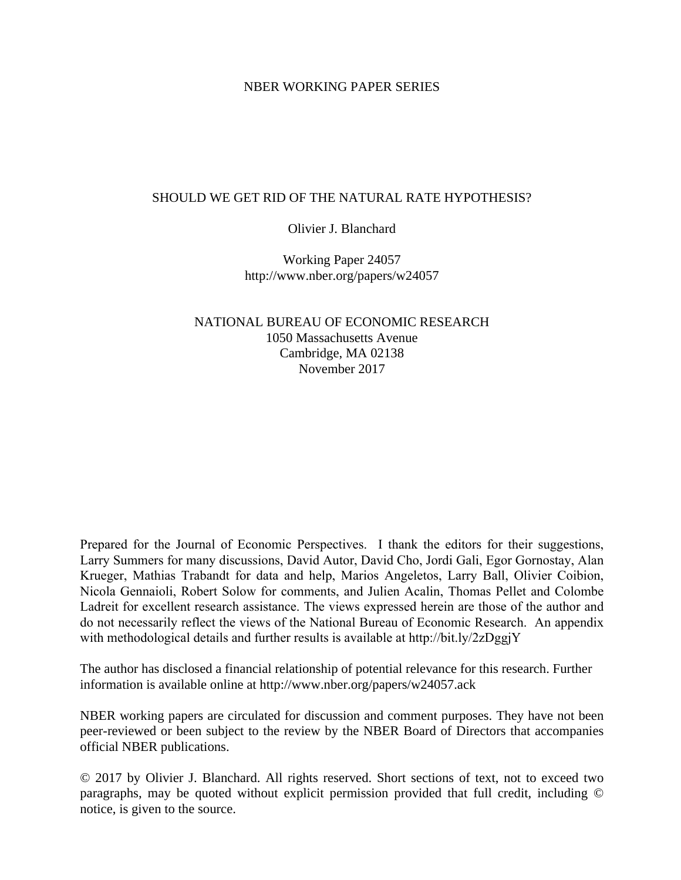# NBER WORKING PAPER SERIES

# SHOULD WE GET RID OF THE NATURAL RATE HYPOTHESIS?

# Olivier J. Blanchard

Working Paper 24057 http://www.nber.org/papers/w24057

NATIONAL BUREAU OF ECONOMIC RESEARCH 1050 Massachusetts Avenue Cambridge, MA 02138 November 2017

Prepared for the Journal of Economic Perspectives. I thank the editors for their suggestions, Larry Summers for many discussions, David Autor, David Cho, Jordi Gali, Egor Gornostay, Alan Krueger, Mathias Trabandt for data and help, Marios Angeletos, Larry Ball, Olivier Coibion, Nicola Gennaioli, Robert Solow for comments, and Julien Acalin, Thomas Pellet and Colombe Ladreit for excellent research assistance. The views expressed herein are those of the author and do not necessarily reflect the views of the National Bureau of Economic Research. An appendix with methodological details and further results is available at http://bit.ly/2zDggjY

The author has disclosed a financial relationship of potential relevance for this research. Further information is available online at http://www.nber.org/papers/w24057.ack

NBER working papers are circulated for discussion and comment purposes. They have not been peer-reviewed or been subject to the review by the NBER Board of Directors that accompanies official NBER publications.

© 2017 by Olivier J. Blanchard. All rights reserved. Short sections of text, not to exceed two paragraphs, may be quoted without explicit permission provided that full credit, including © notice, is given to the source.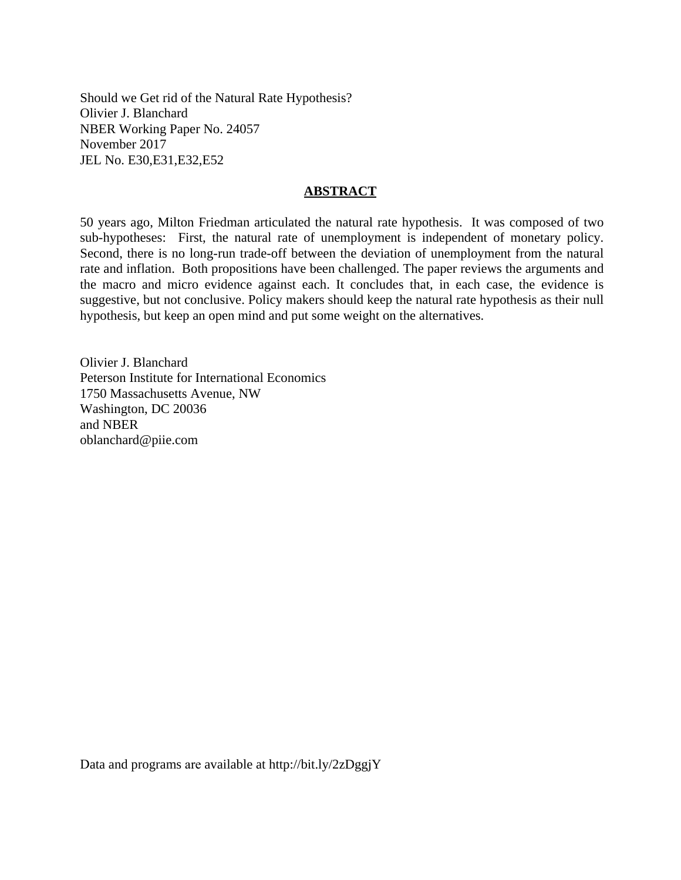Should we Get rid of the Natural Rate Hypothesis? Olivier J. Blanchard NBER Working Paper No. 24057 November 2017 JEL No. E30,E31,E32,E52

# **ABSTRACT**

50 years ago, Milton Friedman articulated the natural rate hypothesis. It was composed of two sub-hypotheses: First, the natural rate of unemployment is independent of monetary policy. Second, there is no long-run trade-off between the deviation of unemployment from the natural rate and inflation. Both propositions have been challenged. The paper reviews the arguments and the macro and micro evidence against each. It concludes that, in each case, the evidence is suggestive, but not conclusive. Policy makers should keep the natural rate hypothesis as their null hypothesis, but keep an open mind and put some weight on the alternatives.

Olivier J. Blanchard Peterson Institute for International Economics 1750 Massachusetts Avenue, NW Washington, DC 20036 and NBER oblanchard@piie.com

Data and programs are available at http://bit.ly/2zDggjY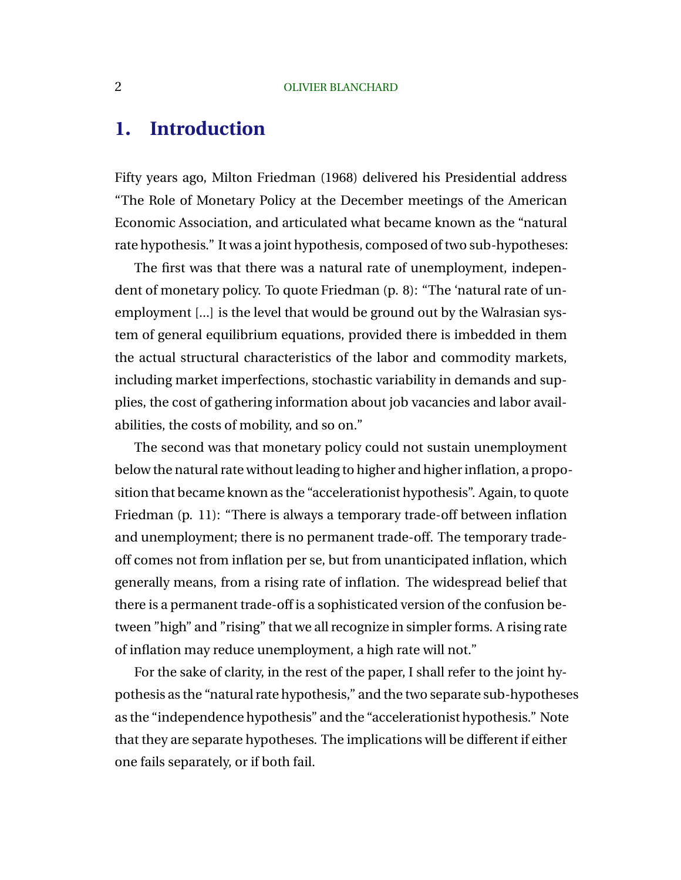# **1. Introduction**

Fifty years ago, Milton Friedman (1968) delivered his Presidential address "The Role of Monetary Policy at the December meetings of the American Economic Association, and articulated what became known as the "natural rate hypothesis." It was a joint hypothesis, composed of two sub-hypotheses:

The first was that there was a natural rate of unemployment, independent of monetary policy. To quote Friedman (p. 8): "The 'natural rate of unemployment [...] is the level that would be ground out by the Walrasian system of general equilibrium equations, provided there is imbedded in them the actual structural characteristics of the labor and commodity markets, including market imperfections, stochastic variability in demands and supplies, the cost of gathering information about job vacancies and labor availabilities, the costs of mobility, and so on."

The second was that monetary policy could not sustain unemployment below the natural rate without leading to higher and higher inflation, a proposition that became known as the "accelerationist hypothesis". Again, to quote Friedman (p. 11): "There is always a temporary trade-off between inflation and unemployment; there is no permanent trade-off. The temporary tradeoff comes not from inflation per se, but from unanticipated inflation, which generally means, from a rising rate of inflation. The widespread belief that there is a permanent trade-off is a sophisticated version of the confusion between "high" and "rising" that we all recognize in simpler forms. A rising rate of inflation may reduce unemployment, a high rate will not."

For the sake of clarity, in the rest of the paper, I shall refer to the joint hypothesis as the "natural rate hypothesis," and the two separate sub-hypotheses as the "independence hypothesis" and the "accelerationist hypothesis." Note that they are separate hypotheses. The implications will be different if either one fails separately, or if both fail.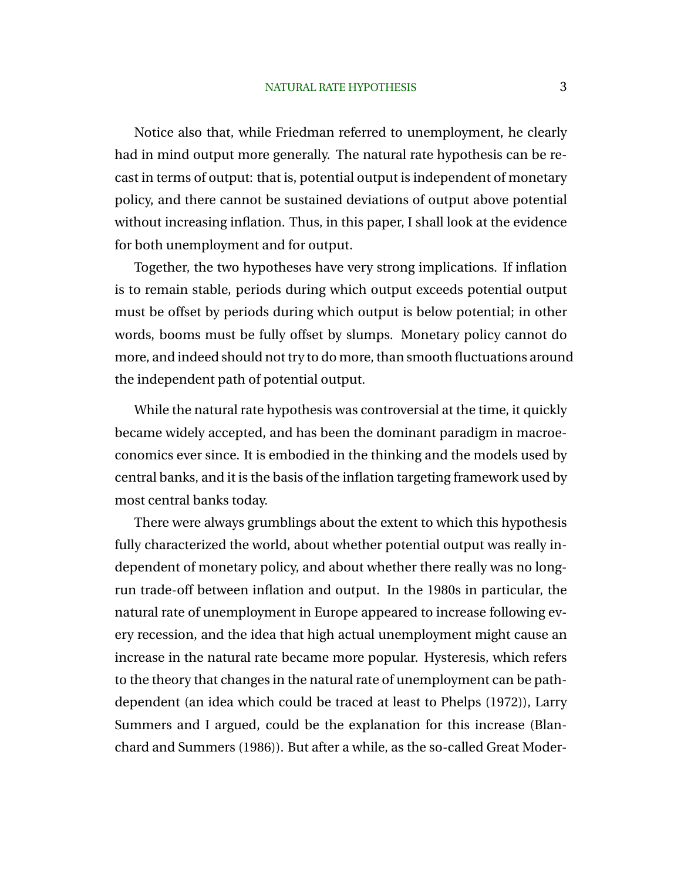Notice also that, while Friedman referred to unemployment, he clearly had in mind output more generally. The natural rate hypothesis can be recast in terms of output: that is, potential output is independent of monetary policy, and there cannot be sustained deviations of output above potential without increasing inflation. Thus, in this paper, I shall look at the evidence for both unemployment and for output.

Together, the two hypotheses have very strong implications. If inflation is to remain stable, periods during which output exceeds potential output must be offset by periods during which output is below potential; in other words, booms must be fully offset by slumps. Monetary policy cannot do more, and indeed should not try to do more, than smooth fluctuations around the independent path of potential output.

While the natural rate hypothesis was controversial at the time, it quickly became widely accepted, and has been the dominant paradigm in macroeconomics ever since. It is embodied in the thinking and the models used by central banks, and it is the basis of the inflation targeting framework used by most central banks today.

There were always grumblings about the extent to which this hypothesis fully characterized the world, about whether potential output was really independent of monetary policy, and about whether there really was no longrun trade-off between inflation and output. In the 1980s in particular, the natural rate of unemployment in Europe appeared to increase following every recession, and the idea that high actual unemployment might cause an increase in the natural rate became more popular. Hysteresis, which refers to the theory that changes in the natural rate of unemployment can be pathdependent (an idea which could be traced at least to Phelps (1972)), Larry Summers and I argued, could be the explanation for this increase (Blanchard and Summers (1986)). But after a while, as the so-called Great Moder-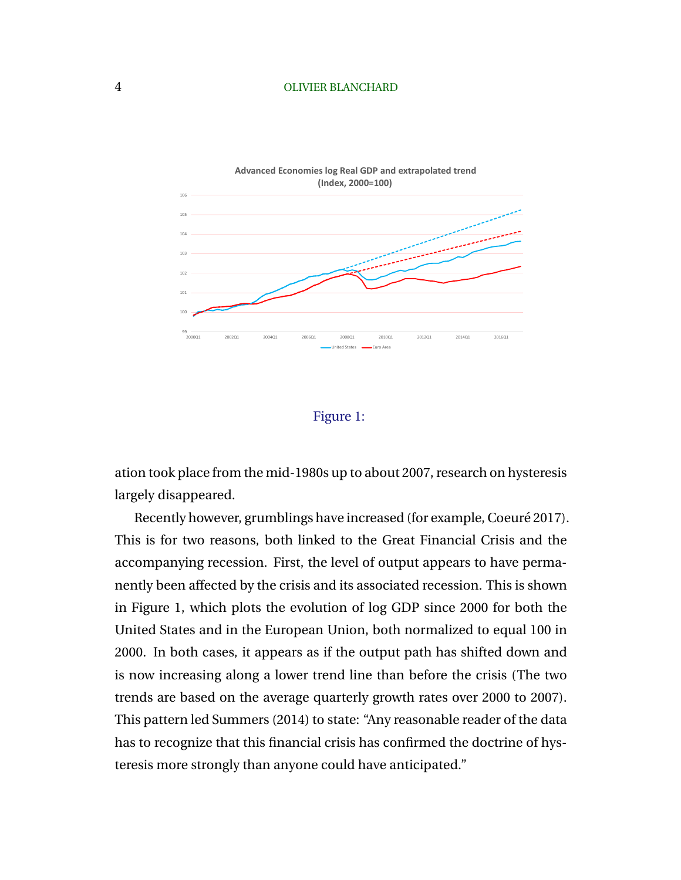

# Figure 1:

ation took place from the mid-1980s up to about 2007, research on hysteresis largely disappeared.

Recently however, grumblings have increased (for example, Coeuré 2017). This is for two reasons, both linked to the Great Financial Crisis and the accompanying recession. First, the level of output appears to have permanently been affected by the crisis and its associated recession. This is shown in Figure 1, which plots the evolution of log GDP since 2000 for both the United States and in the European Union, both normalized to equal 100 in 2000. In both cases, it appears as if the output path has shifted down and is now increasing along a lower trend line than before the crisis (The two trends are based on the average quarterly growth rates over 2000 to 2007). This pattern led Summers (2014) to state: "Any reasonable reader of the data has to recognize that this financial crisis has confirmed the doctrine of hysteresis more strongly than anyone could have anticipated."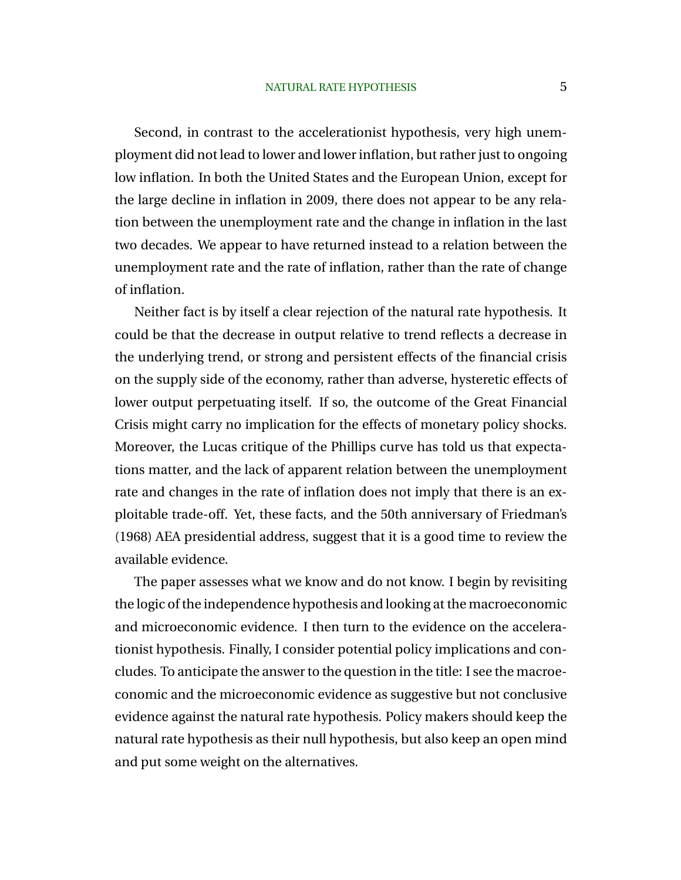Second, in contrast to the accelerationist hypothesis, very high unemployment did not lead to lower and lower inflation, but rather just to ongoing low inflation. In both the United States and the European Union, except for the large decline in inflation in 2009, there does not appear to be any relation between the unemployment rate and the change in inflation in the last two decades. We appear to have returned instead to a relation between the unemployment rate and the rate of inflation, rather than the rate of change of inflation.

Neither fact is by itself a clear rejection of the natural rate hypothesis. It could be that the decrease in output relative to trend reflects a decrease in the underlying trend, or strong and persistent effects of the financial crisis on the supply side of the economy, rather than adverse, hysteretic effects of lower output perpetuating itself. If so, the outcome of the Great Financial Crisis might carry no implication for the effects of monetary policy shocks. Moreover, the Lucas critique of the Phillips curve has told us that expectations matter, and the lack of apparent relation between the unemployment rate and changes in the rate of inflation does not imply that there is an exploitable trade-off. Yet, these facts, and the 50th anniversary of Friedman's (1968) AEA presidential address, suggest that it is a good time to review the available evidence.

The paper assesses what we know and do not know. I begin by revisiting the logic of the independence hypothesis and looking at the macroeconomic and microeconomic evidence. I then turn to the evidence on the accelerationist hypothesis. Finally, I consider potential policy implications and concludes. To anticipate the answer to the question in the title: I see the macroeconomic and the microeconomic evidence as suggestive but not conclusive evidence against the natural rate hypothesis. Policy makers should keep the natural rate hypothesis as their null hypothesis, but also keep an open mind and put some weight on the alternatives.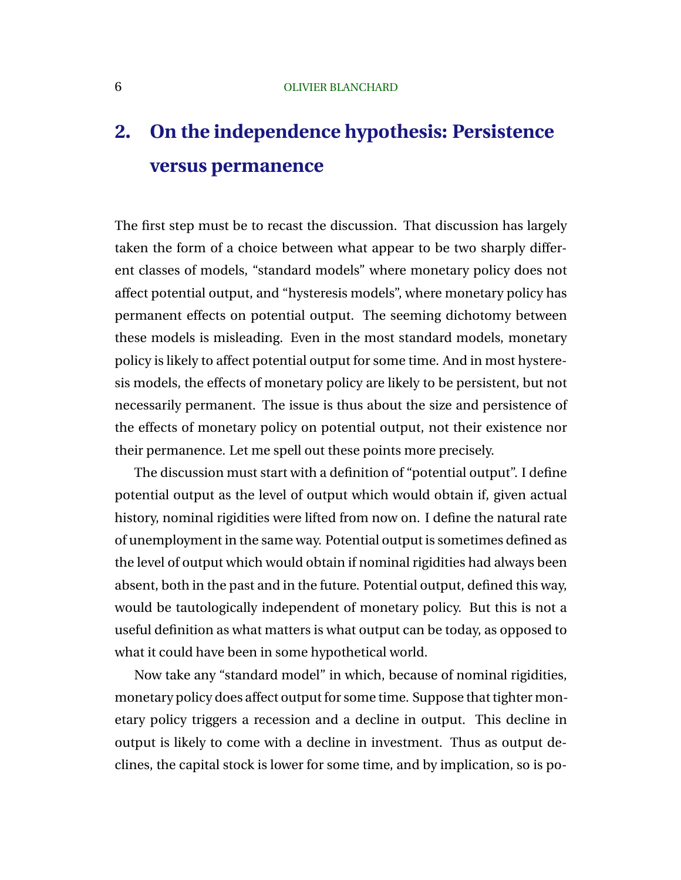# **2. On the independence hypothesis: Persistence versus permanence**

The first step must be to recast the discussion. That discussion has largely taken the form of a choice between what appear to be two sharply different classes of models, "standard models" where monetary policy does not affect potential output, and "hysteresis models", where monetary policy has permanent effects on potential output. The seeming dichotomy between these models is misleading. Even in the most standard models, monetary policy is likely to affect potential output for some time. And in most hysteresis models, the effects of monetary policy are likely to be persistent, but not necessarily permanent. The issue is thus about the size and persistence of the effects of monetary policy on potential output, not their existence nor their permanence. Let me spell out these points more precisely.

The discussion must start with a definition of "potential output". I define potential output as the level of output which would obtain if, given actual history, nominal rigidities were lifted from now on. I define the natural rate of unemployment in the same way. Potential output is sometimes defined as the level of output which would obtain if nominal rigidities had always been absent, both in the past and in the future. Potential output, defined this way, would be tautologically independent of monetary policy. But this is not a useful definition as what matters is what output can be today, as opposed to what it could have been in some hypothetical world.

Now take any "standard model" in which, because of nominal rigidities, monetary policy does affect output for some time. Suppose that tighter monetary policy triggers a recession and a decline in output. This decline in output is likely to come with a decline in investment. Thus as output declines, the capital stock is lower for some time, and by implication, so is po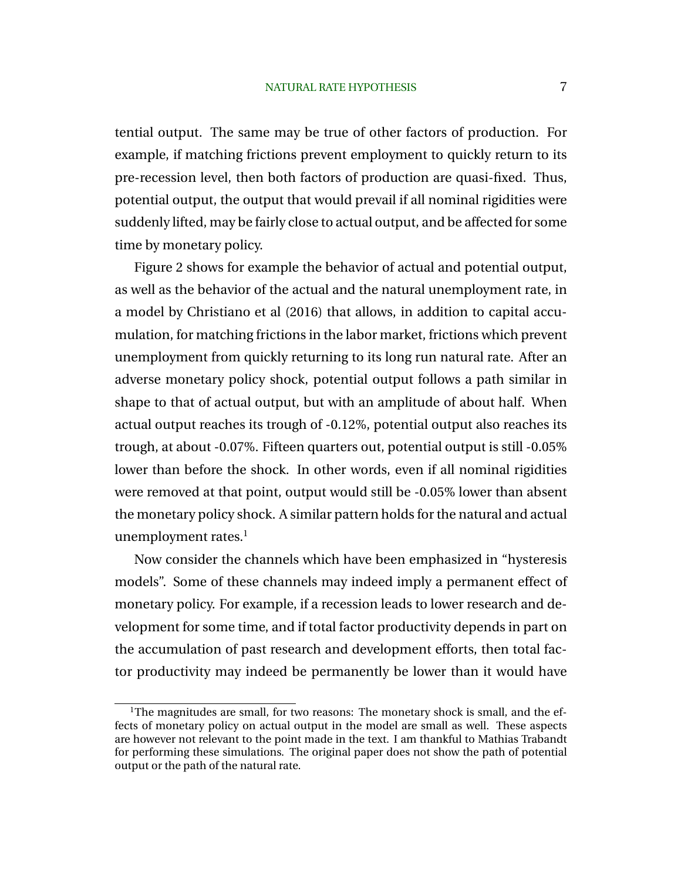tential output. The same may be true of other factors of production. For example, if matching frictions prevent employment to quickly return to its pre-recession level, then both factors of production are quasi-fixed. Thus, potential output, the output that would prevail if all nominal rigidities were suddenly lifted, may be fairly close to actual output, and be affected for some time by monetary policy.

Figure 2 shows for example the behavior of actual and potential output, as well as the behavior of the actual and the natural unemployment rate, in a model by Christiano et al (2016) that allows, in addition to capital accumulation, for matching frictions in the labor market, frictions which prevent unemployment from quickly returning to its long run natural rate. After an adverse monetary policy shock, potential output follows a path similar in shape to that of actual output, but with an amplitude of about half. When actual output reaches its trough of -0.12%, potential output also reaches its trough, at about -0.07%. Fifteen quarters out, potential output is still -0.05% lower than before the shock. In other words, even if all nominal rigidities were removed at that point, output would still be -0.05% lower than absent the monetary policy shock. A similar pattern holds for the natural and actual unemployment rates. $<sup>1</sup>$ </sup>

Now consider the channels which have been emphasized in "hysteresis models". Some of these channels may indeed imply a permanent effect of monetary policy. For example, if a recession leads to lower research and development for some time, and if total factor productivity depends in part on the accumulation of past research and development efforts, then total factor productivity may indeed be permanently be lower than it would have

<sup>&</sup>lt;sup>1</sup>The magnitudes are small, for two reasons: The monetary shock is small, and the effects of monetary policy on actual output in the model are small as well. These aspects are however not relevant to the point made in the text. I am thankful to Mathias Trabandt for performing these simulations. The original paper does not show the path of potential output or the path of the natural rate.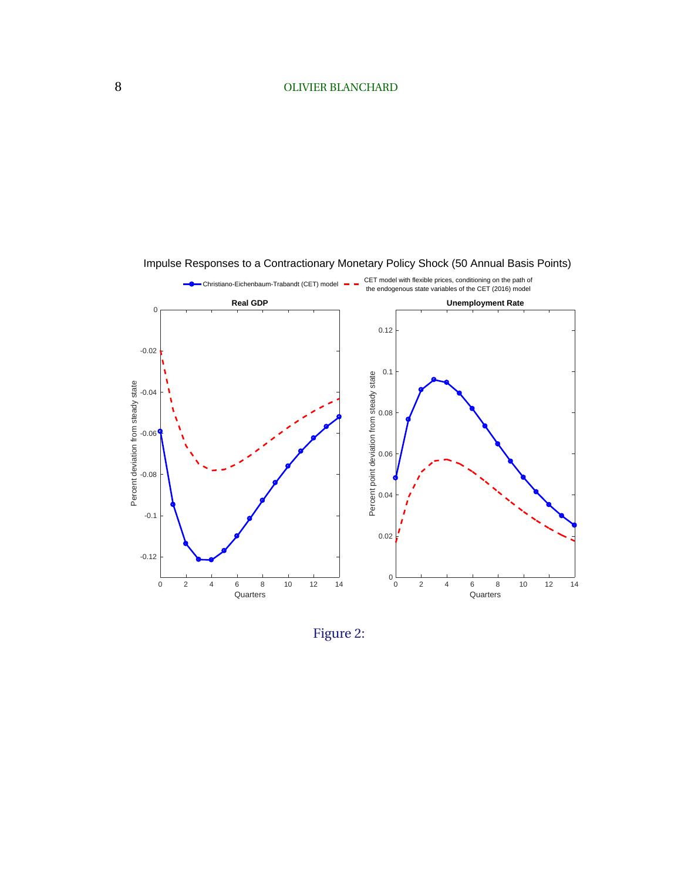

Impulse Responses to a Contractionary Monetary Policy Shock (50 Annual Basis Points)

Figure 2: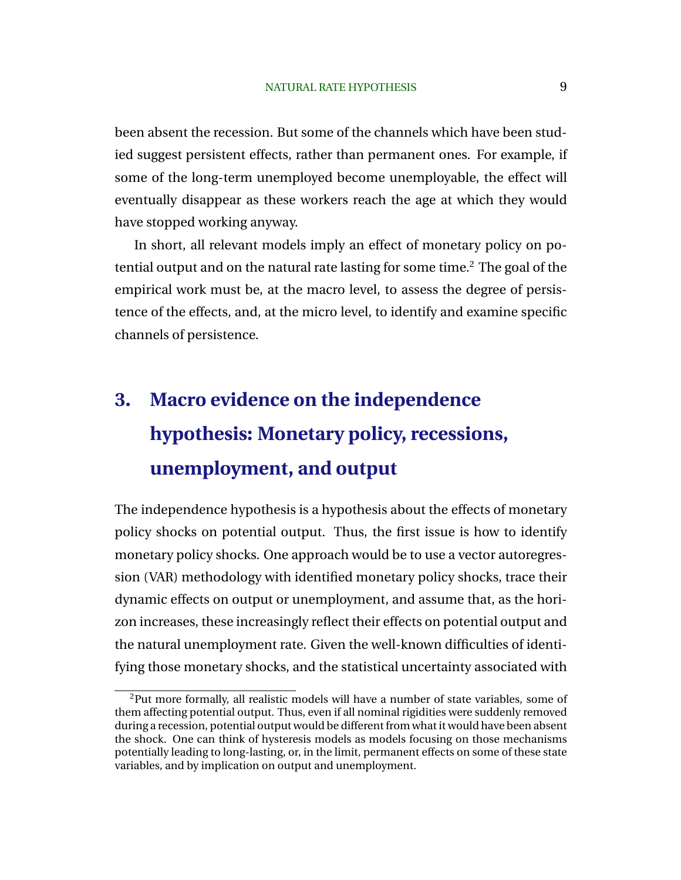been absent the recession. But some of the channels which have been studied suggest persistent effects, rather than permanent ones. For example, if some of the long-term unemployed become unemployable, the effect will eventually disappear as these workers reach the age at which they would have stopped working anyway.

In short, all relevant models imply an effect of monetary policy on potential output and on the natural rate lasting for some time.<sup>2</sup> The goal of the empirical work must be, at the macro level, to assess the degree of persistence of the effects, and, at the micro level, to identify and examine specific channels of persistence.

# **3. Macro evidence on the independence hypothesis: Monetary policy, recessions, unemployment, and output**

The independence hypothesis is a hypothesis about the effects of monetary policy shocks on potential output. Thus, the first issue is how to identify monetary policy shocks. One approach would be to use a vector autoregression (VAR) methodology with identified monetary policy shocks, trace their dynamic effects on output or unemployment, and assume that, as the horizon increases, these increasingly reflect their effects on potential output and the natural unemployment rate. Given the well-known difficulties of identifying those monetary shocks, and the statistical uncertainty associated with

<sup>&</sup>lt;sup>2</sup>Put more formally, all realistic models will have a number of state variables, some of them affecting potential output. Thus, even if all nominal rigidities were suddenly removed during a recession, potential output would be different from what it would have been absent the shock. One can think of hysteresis models as models focusing on those mechanisms potentially leading to long-lasting, or, in the limit, permanent effects on some of these state variables, and by implication on output and unemployment.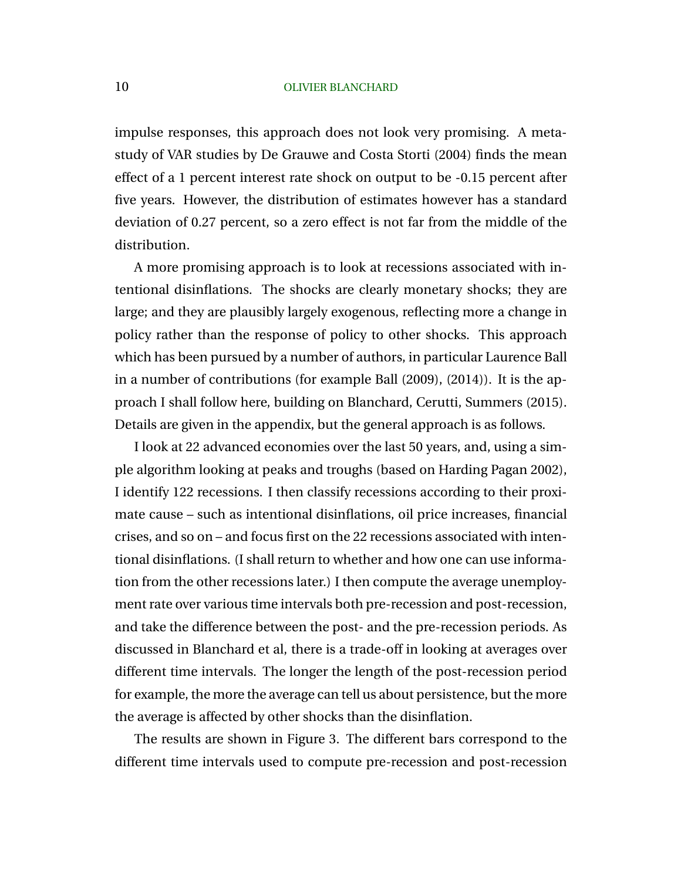impulse responses, this approach does not look very promising. A metastudy of VAR studies by De Grauwe and Costa Storti (2004) finds the mean effect of a 1 percent interest rate shock on output to be -0.15 percent after five years. However, the distribution of estimates however has a standard deviation of 0.27 percent, so a zero effect is not far from the middle of the distribution.

A more promising approach is to look at recessions associated with intentional disinflations. The shocks are clearly monetary shocks; they are large; and they are plausibly largely exogenous, reflecting more a change in policy rather than the response of policy to other shocks. This approach which has been pursued by a number of authors, in particular Laurence Ball in a number of contributions (for example Ball (2009), (2014)). It is the approach I shall follow here, building on Blanchard, Cerutti, Summers (2015). Details are given in the appendix, but the general approach is as follows.

I look at 22 advanced economies over the last 50 years, and, using a simple algorithm looking at peaks and troughs (based on Harding Pagan 2002), I identify 122 recessions. I then classify recessions according to their proximate cause – such as intentional disinflations, oil price increases, financial crises, and so on – and focus first on the 22 recessions associated with intentional disinflations. (I shall return to whether and how one can use information from the other recessions later.) I then compute the average unemployment rate over various time intervals both pre-recession and post-recession, and take the difference between the post- and the pre-recession periods. As discussed in Blanchard et al, there is a trade-off in looking at averages over different time intervals. The longer the length of the post-recession period for example, the more the average can tell us about persistence, but the more the average is affected by other shocks than the disinflation.

The results are shown in Figure 3. The different bars correspond to the different time intervals used to compute pre-recession and post-recession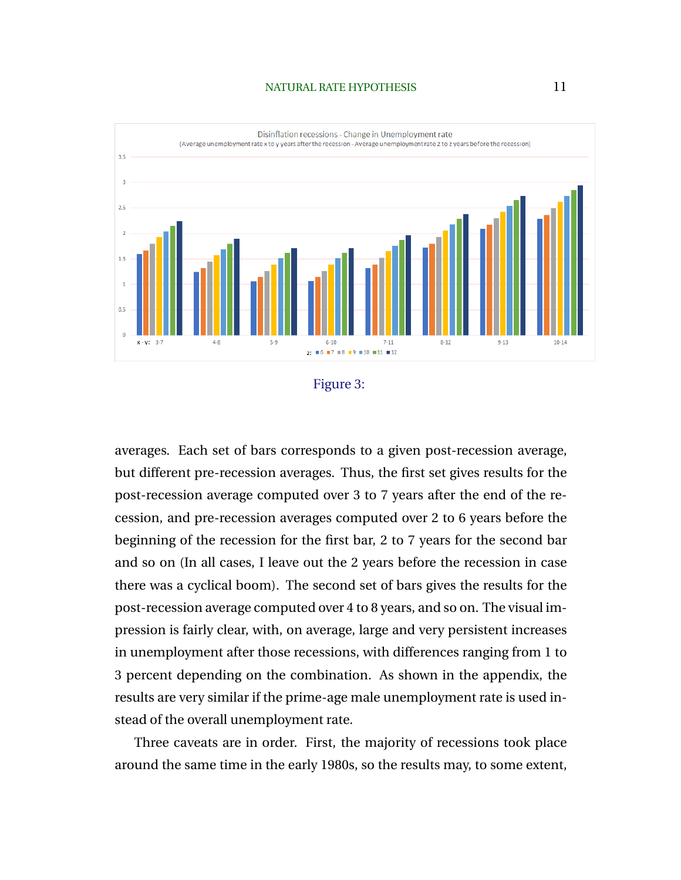# NATURAL RATE HYPOTHESIS 11



Figure 3:

averages. Each set of bars corresponds to a given post-recession average, but different pre-recession averages. Thus, the first set gives results for the post-recession average computed over 3 to 7 years after the end of the recession, and pre-recession averages computed over 2 to 6 years before the beginning of the recession for the first bar, 2 to 7 years for the second bar and so on (In all cases, I leave out the 2 years before the recession in case there was a cyclical boom). The second set of bars gives the results for the post-recession average computed over 4 to 8 years, and so on. The visual impression is fairly clear, with, on average, large and very persistent increases in unemployment after those recessions, with differences ranging from 1 to 3 percent depending on the combination. As shown in the appendix, the results are very similar if the prime-age male unemployment rate is used instead of the overall unemployment rate.

Three caveats are in order. First, the majority of recessions took place around the same time in the early 1980s, so the results may, to some extent,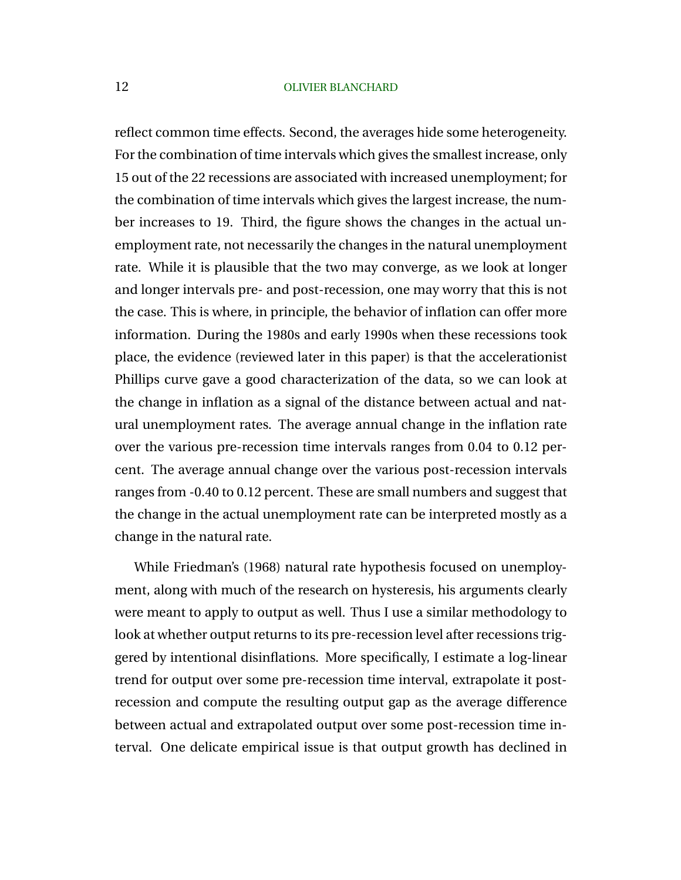reflect common time effects. Second, the averages hide some heterogeneity. For the combination of time intervals which gives the smallest increase, only 15 out of the 22 recessions are associated with increased unemployment; for the combination of time intervals which gives the largest increase, the number increases to 19. Third, the figure shows the changes in the actual unemployment rate, not necessarily the changes in the natural unemployment rate. While it is plausible that the two may converge, as we look at longer and longer intervals pre- and post-recession, one may worry that this is not the case. This is where, in principle, the behavior of inflation can offer more information. During the 1980s and early 1990s when these recessions took place, the evidence (reviewed later in this paper) is that the accelerationist Phillips curve gave a good characterization of the data, so we can look at the change in inflation as a signal of the distance between actual and natural unemployment rates. The average annual change in the inflation rate over the various pre-recession time intervals ranges from 0.04 to 0.12 percent. The average annual change over the various post-recession intervals ranges from -0.40 to 0.12 percent. These are small numbers and suggest that the change in the actual unemployment rate can be interpreted mostly as a change in the natural rate.

While Friedman's (1968) natural rate hypothesis focused on unemployment, along with much of the research on hysteresis, his arguments clearly were meant to apply to output as well. Thus I use a similar methodology to look at whether output returns to its pre-recession level after recessions triggered by intentional disinflations. More specifically, I estimate a log-linear trend for output over some pre-recession time interval, extrapolate it postrecession and compute the resulting output gap as the average difference between actual and extrapolated output over some post-recession time interval. One delicate empirical issue is that output growth has declined in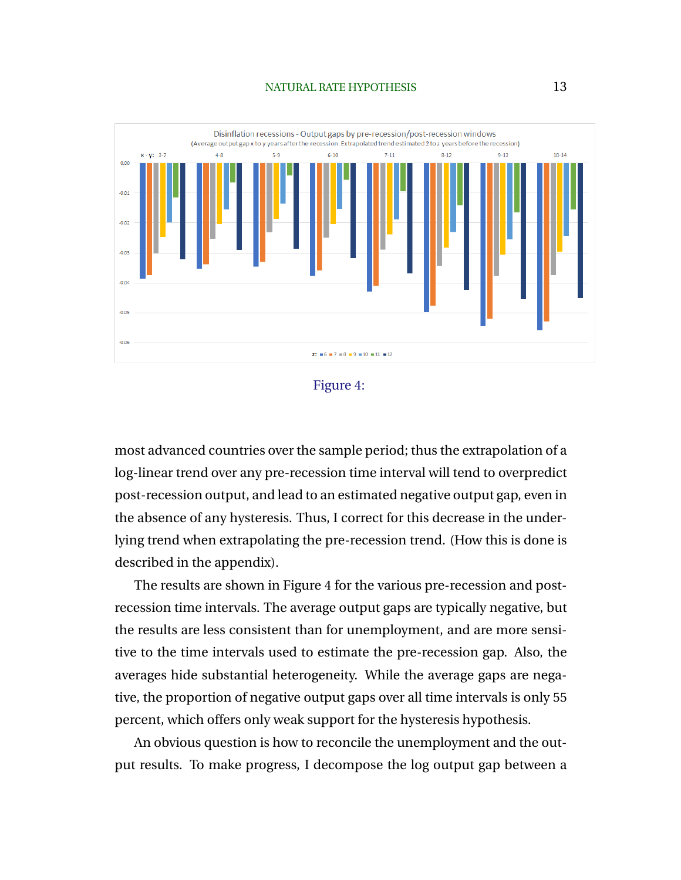## NATURAL RATE HYPOTHESIS 13



Figure 4:

most advanced countries over the sample period; thus the extrapolation of a log-linear trend over any pre-recession time interval will tend to overpredict post-recession output, and lead to an estimated negative output gap, even in the absence of any hysteresis. Thus, I correct for this decrease in the underlying trend when extrapolating the pre-recession trend. (How this is done is described in the appendix).

The results are shown in Figure 4 for the various pre-recession and postrecession time intervals. The average output gaps are typically negative, but the results are less consistent than for unemployment, and are more sensitive to the time intervals used to estimate the pre-recession gap. Also, the averages hide substantial heterogeneity. While the average gaps are negative, the proportion of negative output gaps over all time intervals is only 55 percent, which offers only weak support for the hysteresis hypothesis.

An obvious question is how to reconcile the unemployment and the output results. To make progress, I decompose the log output gap between a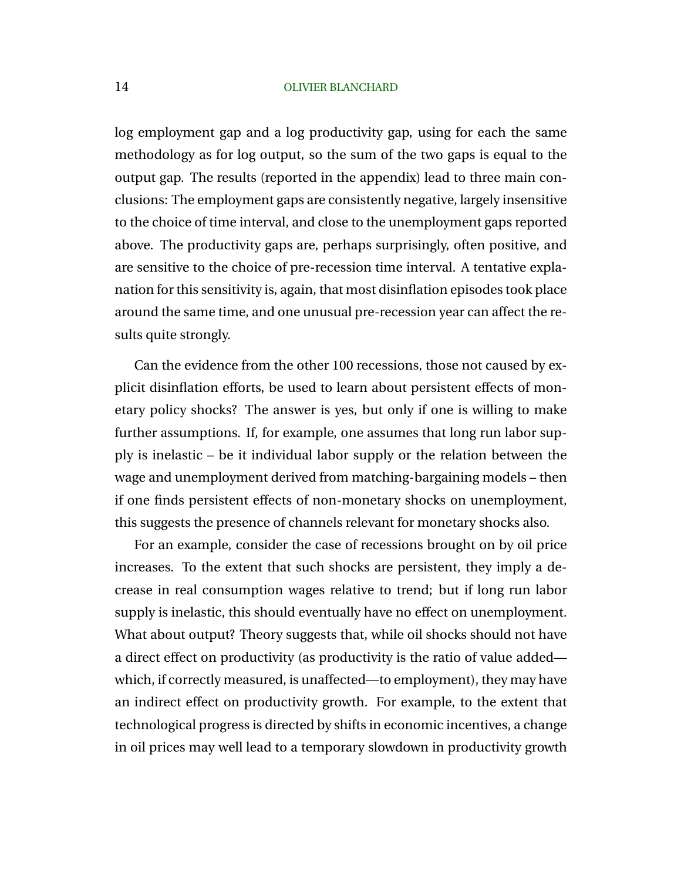log employment gap and a log productivity gap, using for each the same methodology as for log output, so the sum of the two gaps is equal to the output gap. The results (reported in the appendix) lead to three main conclusions: The employment gaps are consistently negative, largely insensitive to the choice of time interval, and close to the unemployment gaps reported above. The productivity gaps are, perhaps surprisingly, often positive, and are sensitive to the choice of pre-recession time interval. A tentative explanation for this sensitivity is, again, that most disinflation episodes took place around the same time, and one unusual pre-recession year can affect the results quite strongly.

Can the evidence from the other 100 recessions, those not caused by explicit disinflation efforts, be used to learn about persistent effects of monetary policy shocks? The answer is yes, but only if one is willing to make further assumptions. If, for example, one assumes that long run labor supply is inelastic – be it individual labor supply or the relation between the wage and unemployment derived from matching-bargaining models – then if one finds persistent effects of non-monetary shocks on unemployment, this suggests the presence of channels relevant for monetary shocks also.

For an example, consider the case of recessions brought on by oil price increases. To the extent that such shocks are persistent, they imply a decrease in real consumption wages relative to trend; but if long run labor supply is inelastic, this should eventually have no effect on unemployment. What about output? Theory suggests that, while oil shocks should not have a direct effect on productivity (as productivity is the ratio of value added which, if correctly measured, is unaffected—to employment), they may have an indirect effect on productivity growth. For example, to the extent that technological progress is directed by shifts in economic incentives, a change in oil prices may well lead to a temporary slowdown in productivity growth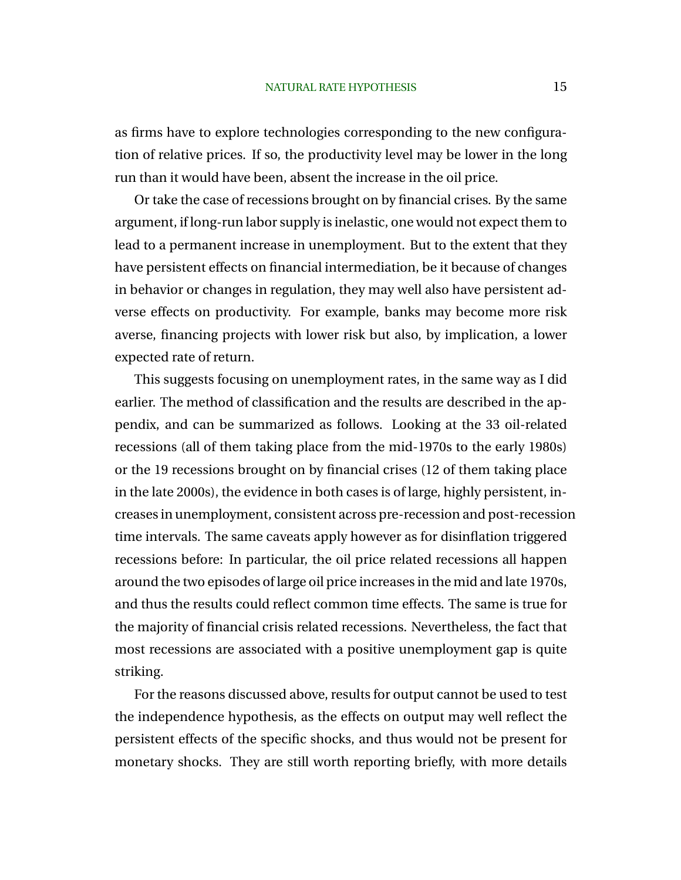as firms have to explore technologies corresponding to the new configuration of relative prices. If so, the productivity level may be lower in the long run than it would have been, absent the increase in the oil price.

Or take the case of recessions brought on by financial crises. By the same argument, if long-run labor supply is inelastic, one would not expect them to lead to a permanent increase in unemployment. But to the extent that they have persistent effects on financial intermediation, be it because of changes in behavior or changes in regulation, they may well also have persistent adverse effects on productivity. For example, banks may become more risk averse, financing projects with lower risk but also, by implication, a lower expected rate of return.

This suggests focusing on unemployment rates, in the same way as I did earlier. The method of classification and the results are described in the appendix, and can be summarized as follows. Looking at the 33 oil-related recessions (all of them taking place from the mid-1970s to the early 1980s) or the 19 recessions brought on by financial crises (12 of them taking place in the late 2000s), the evidence in both cases is of large, highly persistent, increases in unemployment, consistent across pre-recession and post-recession time intervals. The same caveats apply however as for disinflation triggered recessions before: In particular, the oil price related recessions all happen around the two episodes of large oil price increases in the mid and late 1970s, and thus the results could reflect common time effects. The same is true for the majority of financial crisis related recessions. Nevertheless, the fact that most recessions are associated with a positive unemployment gap is quite striking.

For the reasons discussed above, results for output cannot be used to test the independence hypothesis, as the effects on output may well reflect the persistent effects of the specific shocks, and thus would not be present for monetary shocks. They are still worth reporting briefly, with more details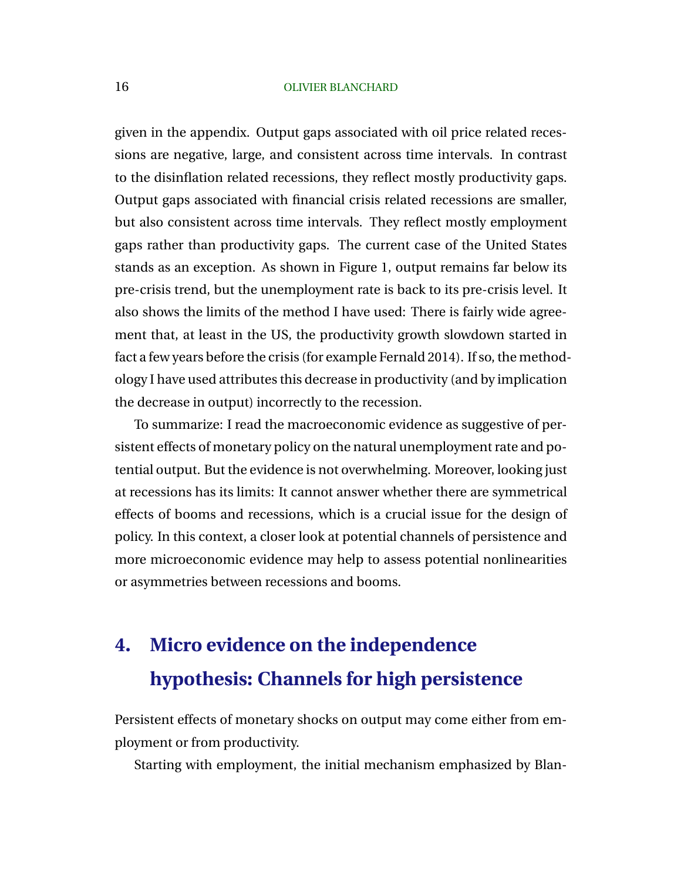given in the appendix. Output gaps associated with oil price related recessions are negative, large, and consistent across time intervals. In contrast to the disinflation related recessions, they reflect mostly productivity gaps. Output gaps associated with financial crisis related recessions are smaller, but also consistent across time intervals. They reflect mostly employment gaps rather than productivity gaps. The current case of the United States stands as an exception. As shown in Figure 1, output remains far below its pre-crisis trend, but the unemployment rate is back to its pre-crisis level. It also shows the limits of the method I have used: There is fairly wide agreement that, at least in the US, the productivity growth slowdown started in fact a few years before the crisis (for example Fernald 2014). If so, the methodology I have used attributes this decrease in productivity (and by implication the decrease in output) incorrectly to the recession.

To summarize: I read the macroeconomic evidence as suggestive of persistent effects of monetary policy on the natural unemployment rate and potential output. But the evidence is not overwhelming. Moreover, looking just at recessions has its limits: It cannot answer whether there are symmetrical effects of booms and recessions, which is a crucial issue for the design of policy. In this context, a closer look at potential channels of persistence and more microeconomic evidence may help to assess potential nonlinearities or asymmetries between recessions and booms.

# **4. Micro evidence on the independence hypothesis: Channels for high persistence**

Persistent effects of monetary shocks on output may come either from employment or from productivity.

Starting with employment, the initial mechanism emphasized by Blan-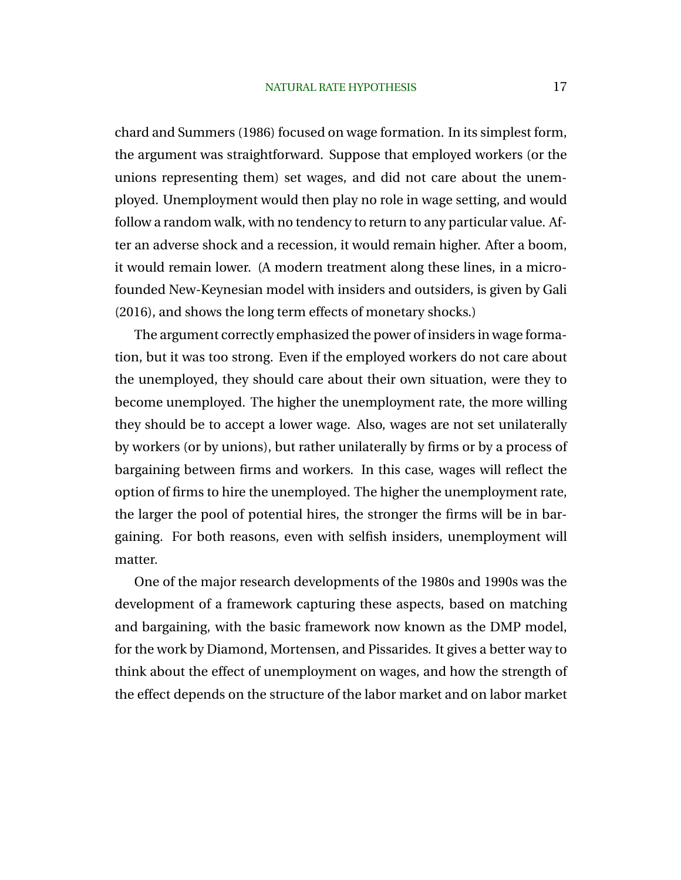chard and Summers (1986) focused on wage formation. In its simplest form, the argument was straightforward. Suppose that employed workers (or the unions representing them) set wages, and did not care about the unemployed. Unemployment would then play no role in wage setting, and would follow a random walk, with no tendency to return to any particular value. After an adverse shock and a recession, it would remain higher. After a boom, it would remain lower. (A modern treatment along these lines, in a microfounded New-Keynesian model with insiders and outsiders, is given by Gali (2016), and shows the long term effects of monetary shocks.)

The argument correctly emphasized the power of insiders in wage formation, but it was too strong. Even if the employed workers do not care about the unemployed, they should care about their own situation, were they to become unemployed. The higher the unemployment rate, the more willing they should be to accept a lower wage. Also, wages are not set unilaterally by workers (or by unions), but rather unilaterally by firms or by a process of bargaining between firms and workers. In this case, wages will reflect the option of firms to hire the unemployed. The higher the unemployment rate, the larger the pool of potential hires, the stronger the firms will be in bargaining. For both reasons, even with selfish insiders, unemployment will matter.

One of the major research developments of the 1980s and 1990s was the development of a framework capturing these aspects, based on matching and bargaining, with the basic framework now known as the DMP model, for the work by Diamond, Mortensen, and Pissarides. It gives a better way to think about the effect of unemployment on wages, and how the strength of the effect depends on the structure of the labor market and on labor market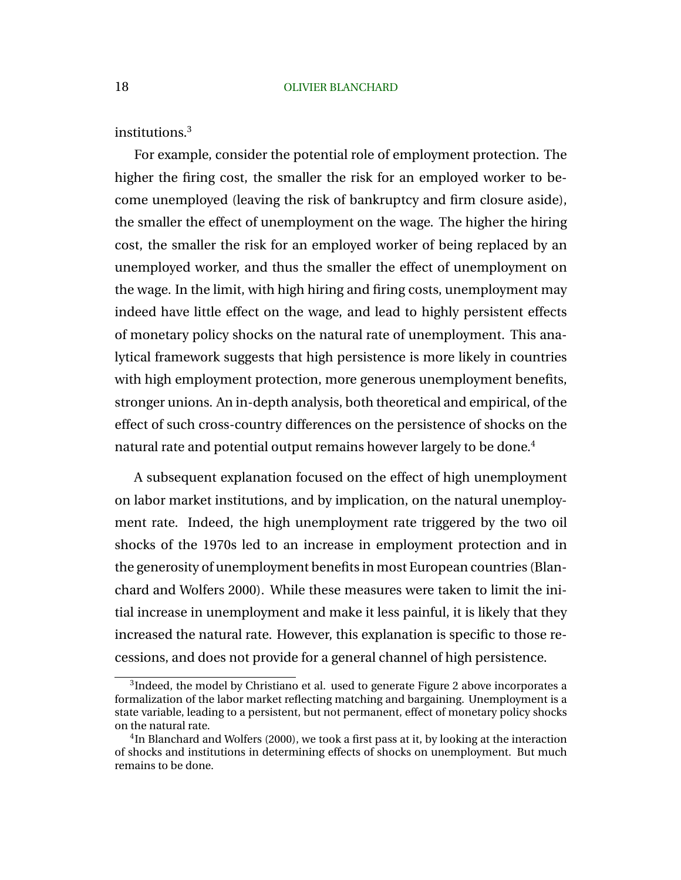institutions.<sup>3</sup>

For example, consider the potential role of employment protection. The higher the firing cost, the smaller the risk for an employed worker to become unemployed (leaving the risk of bankruptcy and firm closure aside), the smaller the effect of unemployment on the wage. The higher the hiring cost, the smaller the risk for an employed worker of being replaced by an unemployed worker, and thus the smaller the effect of unemployment on the wage. In the limit, with high hiring and firing costs, unemployment may indeed have little effect on the wage, and lead to highly persistent effects of monetary policy shocks on the natural rate of unemployment. This analytical framework suggests that high persistence is more likely in countries with high employment protection, more generous unemployment benefits, stronger unions. An in-depth analysis, both theoretical and empirical, of the effect of such cross-country differences on the persistence of shocks on the natural rate and potential output remains however largely to be done.<sup>4</sup>

A subsequent explanation focused on the effect of high unemployment on labor market institutions, and by implication, on the natural unemployment rate. Indeed, the high unemployment rate triggered by the two oil shocks of the 1970s led to an increase in employment protection and in the generosity of unemployment benefits in most European countries (Blanchard and Wolfers 2000). While these measures were taken to limit the initial increase in unemployment and make it less painful, it is likely that they increased the natural rate. However, this explanation is specific to those recessions, and does not provide for a general channel of high persistence.

<sup>&</sup>lt;sup>3</sup>Indeed, the model by Christiano et al. used to generate Figure 2 above incorporates a formalization of the labor market reflecting matching and bargaining. Unemployment is a state variable, leading to a persistent, but not permanent, effect of monetary policy shocks on the natural rate.

<sup>&</sup>lt;sup>4</sup>In Blanchard and Wolfers (2000), we took a first pass at it, by looking at the interaction of shocks and institutions in determining effects of shocks on unemployment. But much remains to be done.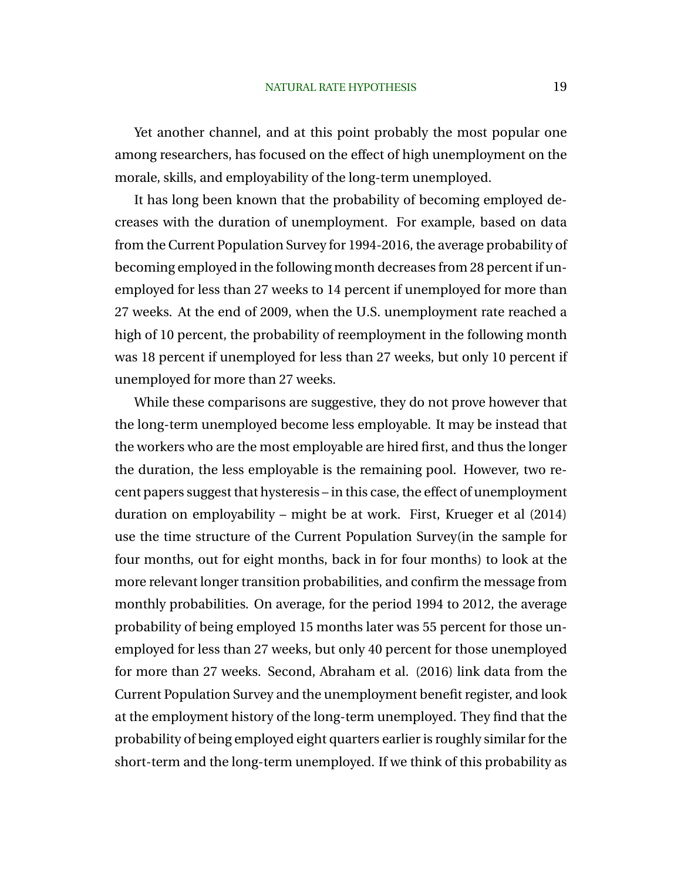Yet another channel, and at this point probably the most popular one among researchers, has focused on the effect of high unemployment on the morale, skills, and employability of the long-term unemployed.

It has long been known that the probability of becoming employed decreases with the duration of unemployment. For example, based on data from the Current Population Survey for 1994-2016, the average probability of becoming employed in the following month decreases from 28 percent if unemployed for less than 27 weeks to 14 percent if unemployed for more than 27 weeks. At the end of 2009, when the U.S. unemployment rate reached a high of 10 percent, the probability of reemployment in the following month was 18 percent if unemployed for less than 27 weeks, but only 10 percent if unemployed for more than 27 weeks.

While these comparisons are suggestive, they do not prove however that the long-term unemployed become less employable. It may be instead that the workers who are the most employable are hired first, and thus the longer the duration, the less employable is the remaining pool. However, two recent papers suggest that hysteresis – in this case, the effect of unemployment duration on employability – might be at work. First, Krueger et al (2014) use the time structure of the Current Population Survey(in the sample for four months, out for eight months, back in for four months) to look at the more relevant longer transition probabilities, and confirm the message from monthly probabilities. On average, for the period 1994 to 2012, the average probability of being employed 15 months later was 55 percent for those unemployed for less than 27 weeks, but only 40 percent for those unemployed for more than 27 weeks. Second, Abraham et al. (2016) link data from the Current Population Survey and the unemployment benefit register, and look at the employment history of the long-term unemployed. They find that the probability of being employed eight quarters earlier is roughly similar for the short-term and the long-term unemployed. If we think of this probability as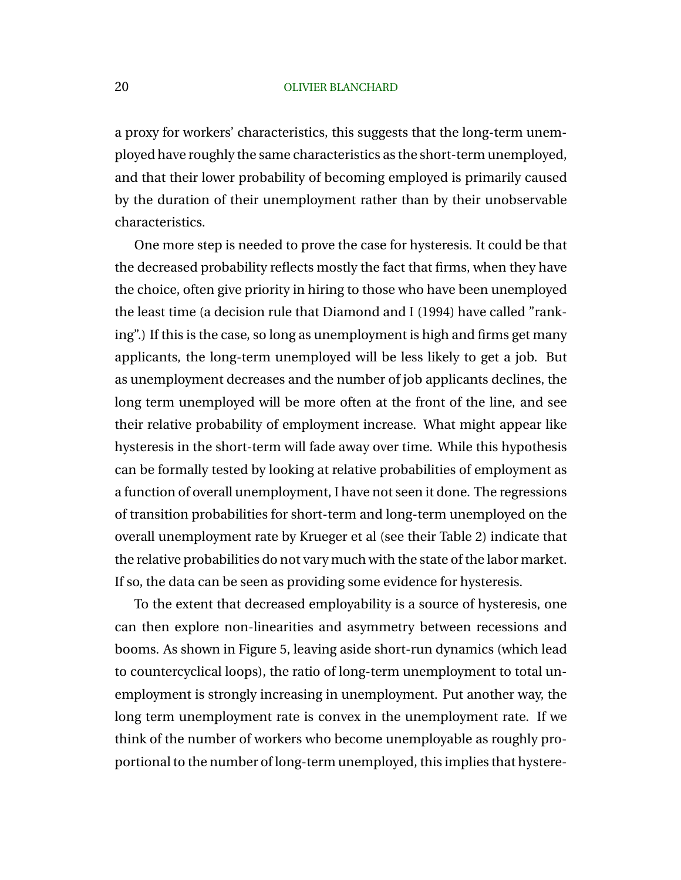a proxy for workers' characteristics, this suggests that the long-term unemployed have roughly the same characteristics as the short-term unemployed, and that their lower probability of becoming employed is primarily caused by the duration of their unemployment rather than by their unobservable characteristics.

One more step is needed to prove the case for hysteresis. It could be that the decreased probability reflects mostly the fact that firms, when they have the choice, often give priority in hiring to those who have been unemployed the least time (a decision rule that Diamond and I (1994) have called "ranking".) If this is the case, so long as unemployment is high and firms get many applicants, the long-term unemployed will be less likely to get a job. But as unemployment decreases and the number of job applicants declines, the long term unemployed will be more often at the front of the line, and see their relative probability of employment increase. What might appear like hysteresis in the short-term will fade away over time. While this hypothesis can be formally tested by looking at relative probabilities of employment as a function of overall unemployment, I have not seen it done. The regressions of transition probabilities for short-term and long-term unemployed on the overall unemployment rate by Krueger et al (see their Table 2) indicate that the relative probabilities do not vary much with the state of the labor market. If so, the data can be seen as providing some evidence for hysteresis.

To the extent that decreased employability is a source of hysteresis, one can then explore non-linearities and asymmetry between recessions and booms. As shown in Figure 5, leaving aside short-run dynamics (which lead to countercyclical loops), the ratio of long-term unemployment to total unemployment is strongly increasing in unemployment. Put another way, the long term unemployment rate is convex in the unemployment rate. If we think of the number of workers who become unemployable as roughly proportional to the number of long-term unemployed, this implies that hystere-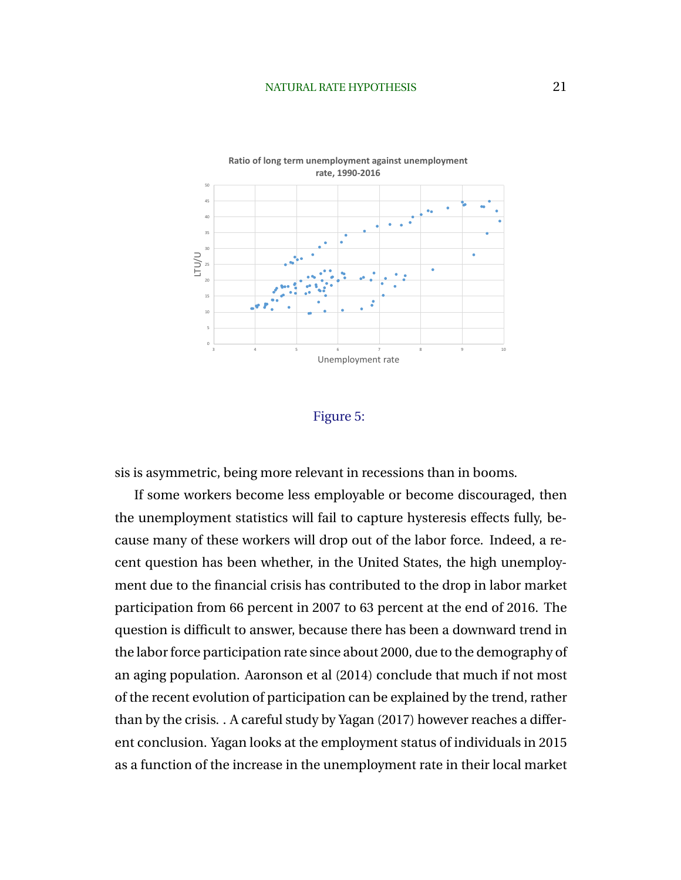# NATURAL RATE HYPOTHESIS 21



## Figure 5:

sis is asymmetric, being more relevant in recessions than in booms.

If some workers become less employable or become discouraged, then the unemployment statistics will fail to capture hysteresis effects fully, because many of these workers will drop out of the labor force. Indeed, a recent question has been whether, in the United States, the high unemployment due to the financial crisis has contributed to the drop in labor market participation from 66 percent in 2007 to 63 percent at the end of 2016. The question is difficult to answer, because there has been a downward trend in the labor force participation rate since about 2000, due to the demography of an aging population. Aaronson et al (2014) conclude that much if not most of the recent evolution of participation can be explained by the trend, rather than by the crisis. . A careful study by Yagan (2017) however reaches a different conclusion. Yagan looks at the employment status of individuals in 2015 as a function of the increase in the unemployment rate in their local market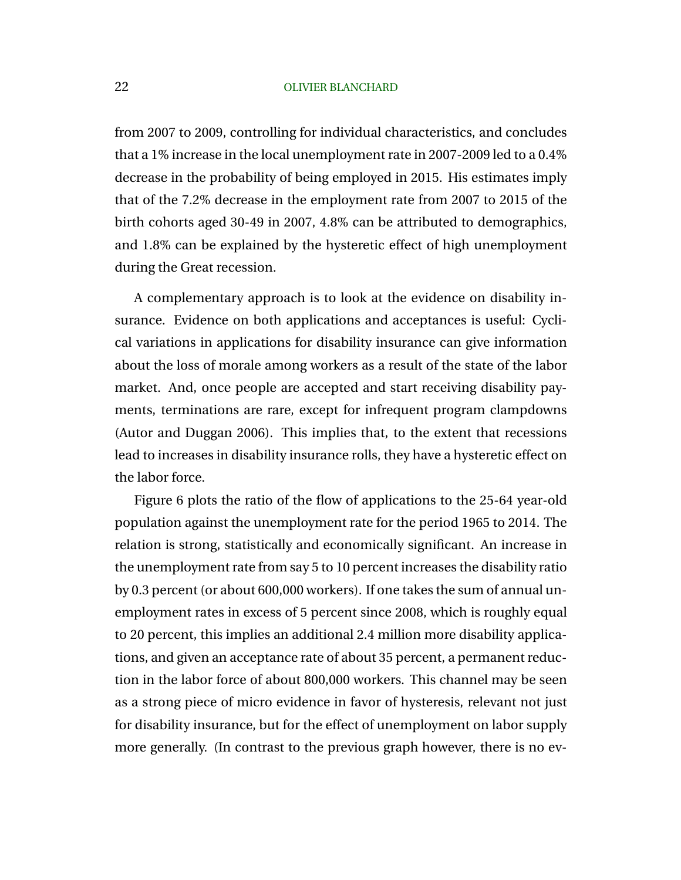from 2007 to 2009, controlling for individual characteristics, and concludes that a 1% increase in the local unemployment rate in 2007-2009 led to a 0.4% decrease in the probability of being employed in 2015. His estimates imply that of the 7.2% decrease in the employment rate from 2007 to 2015 of the birth cohorts aged 30-49 in 2007, 4.8% can be attributed to demographics, and 1.8% can be explained by the hysteretic effect of high unemployment during the Great recession.

A complementary approach is to look at the evidence on disability insurance. Evidence on both applications and acceptances is useful: Cyclical variations in applications for disability insurance can give information about the loss of morale among workers as a result of the state of the labor market. And, once people are accepted and start receiving disability payments, terminations are rare, except for infrequent program clampdowns (Autor and Duggan 2006). This implies that, to the extent that recessions lead to increases in disability insurance rolls, they have a hysteretic effect on the labor force.

Figure 6 plots the ratio of the flow of applications to the 25-64 year-old population against the unemployment rate for the period 1965 to 2014. The relation is strong, statistically and economically significant. An increase in the unemployment rate from say 5 to 10 percent increases the disability ratio by 0.3 percent (or about 600,000 workers). If one takes the sum of annual unemployment rates in excess of 5 percent since 2008, which is roughly equal to 20 percent, this implies an additional 2.4 million more disability applications, and given an acceptance rate of about 35 percent, a permanent reduction in the labor force of about 800,000 workers. This channel may be seen as a strong piece of micro evidence in favor of hysteresis, relevant not just for disability insurance, but for the effect of unemployment on labor supply more generally. (In contrast to the previous graph however, there is no ev-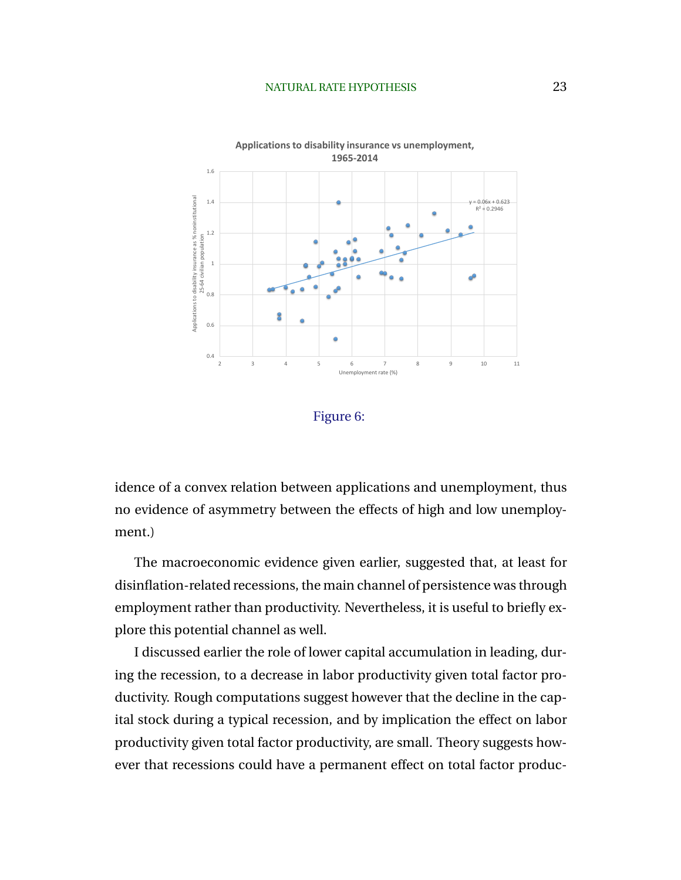# NATURAL RATE HYPOTHESIS 23





idence of a convex relation between applications and unemployment, thus no evidence of asymmetry between the effects of high and low unemployment.)

The macroeconomic evidence given earlier, suggested that, at least for disinflation-related recessions, the main channel of persistence was through employment rather than productivity. Nevertheless, it is useful to briefly explore this potential channel as well.

I discussed earlier the role of lower capital accumulation in leading, during the recession, to a decrease in labor productivity given total factor productivity. Rough computations suggest however that the decline in the capital stock during a typical recession, and by implication the effect on labor productivity given total factor productivity, are small. Theory suggests however that recessions could have a permanent effect on total factor produc-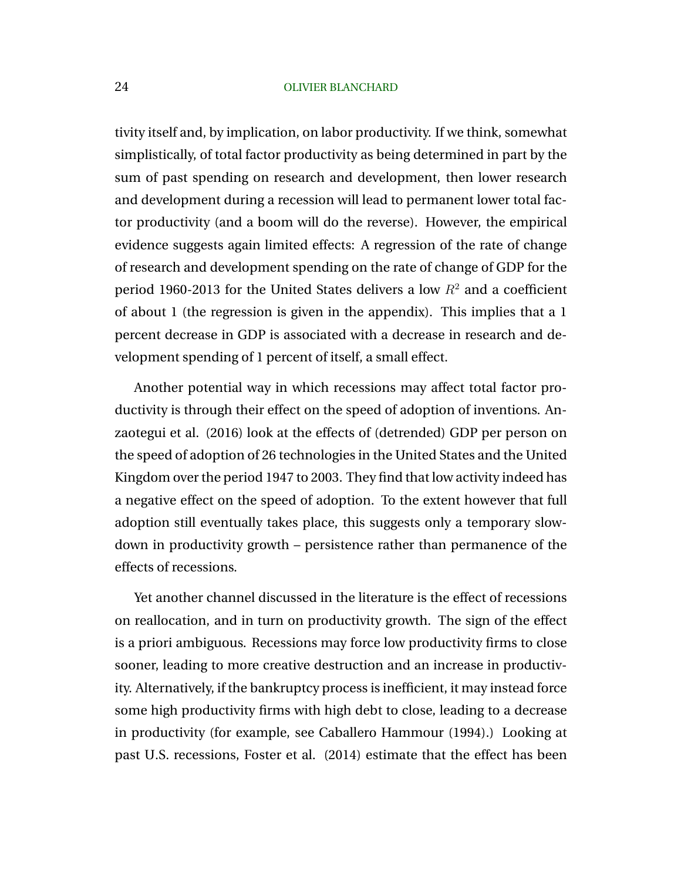tivity itself and, by implication, on labor productivity. If we think, somewhat simplistically, of total factor productivity as being determined in part by the sum of past spending on research and development, then lower research and development during a recession will lead to permanent lower total factor productivity (and a boom will do the reverse). However, the empirical evidence suggests again limited effects: A regression of the rate of change of research and development spending on the rate of change of GDP for the period 1960-2013 for the United States delivers a low  $R^2$  and a coefficient of about 1 (the regression is given in the appendix). This implies that a 1 percent decrease in GDP is associated with a decrease in research and development spending of 1 percent of itself, a small effect.

Another potential way in which recessions may affect total factor productivity is through their effect on the speed of adoption of inventions. Anzaotegui et al. (2016) look at the effects of (detrended) GDP per person on the speed of adoption of 26 technologies in the United States and the United Kingdom over the period 1947 to 2003. They find that low activity indeed has a negative effect on the speed of adoption. To the extent however that full adoption still eventually takes place, this suggests only a temporary slowdown in productivity growth – persistence rather than permanence of the effects of recessions.

Yet another channel discussed in the literature is the effect of recessions on reallocation, and in turn on productivity growth. The sign of the effect is a priori ambiguous. Recessions may force low productivity firms to close sooner, leading to more creative destruction and an increase in productivity. Alternatively, if the bankruptcy process is inefficient, it may instead force some high productivity firms with high debt to close, leading to a decrease in productivity (for example, see Caballero Hammour (1994).) Looking at past U.S. recessions, Foster et al. (2014) estimate that the effect has been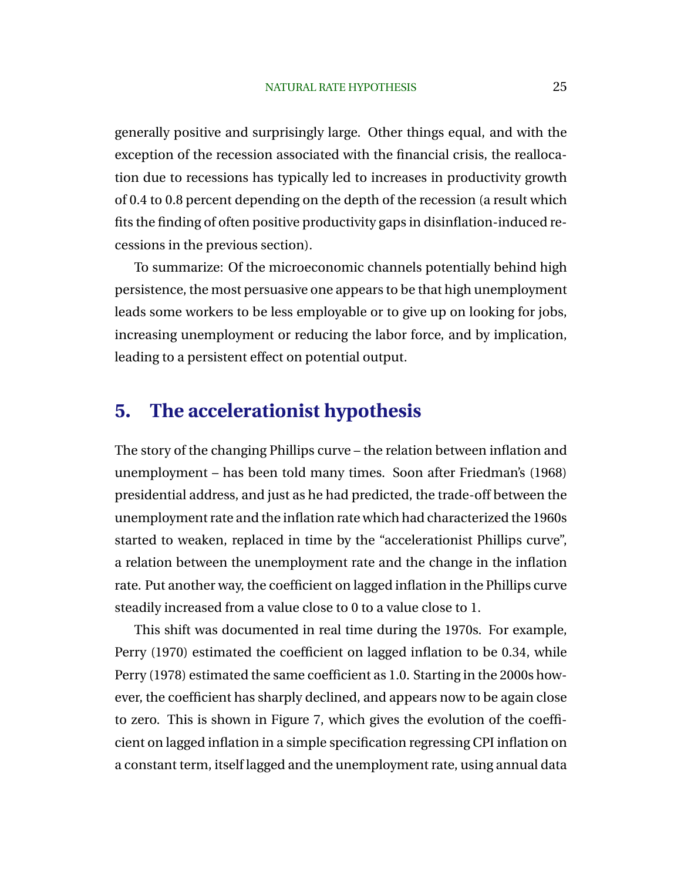generally positive and surprisingly large. Other things equal, and with the exception of the recession associated with the financial crisis, the reallocation due to recessions has typically led to increases in productivity growth of 0.4 to 0.8 percent depending on the depth of the recession (a result which fits the finding of often positive productivity gaps in disinflation-induced recessions in the previous section).

To summarize: Of the microeconomic channels potentially behind high persistence, the most persuasive one appears to be that high unemployment leads some workers to be less employable or to give up on looking for jobs, increasing unemployment or reducing the labor force, and by implication, leading to a persistent effect on potential output.

# **5. The accelerationist hypothesis**

The story of the changing Phillips curve – the relation between inflation and unemployment – has been told many times. Soon after Friedman's (1968) presidential address, and just as he had predicted, the trade-off between the unemployment rate and the inflation rate which had characterized the 1960s started to weaken, replaced in time by the "accelerationist Phillips curve", a relation between the unemployment rate and the change in the inflation rate. Put another way, the coefficient on lagged inflation in the Phillips curve steadily increased from a value close to 0 to a value close to 1.

This shift was documented in real time during the 1970s. For example, Perry (1970) estimated the coefficient on lagged inflation to be 0.34, while Perry (1978) estimated the same coefficient as 1.0. Starting in the 2000s however, the coefficient has sharply declined, and appears now to be again close to zero. This is shown in Figure 7, which gives the evolution of the coefficient on lagged inflation in a simple specification regressing CPI inflation on a constant term, itself lagged and the unemployment rate, using annual data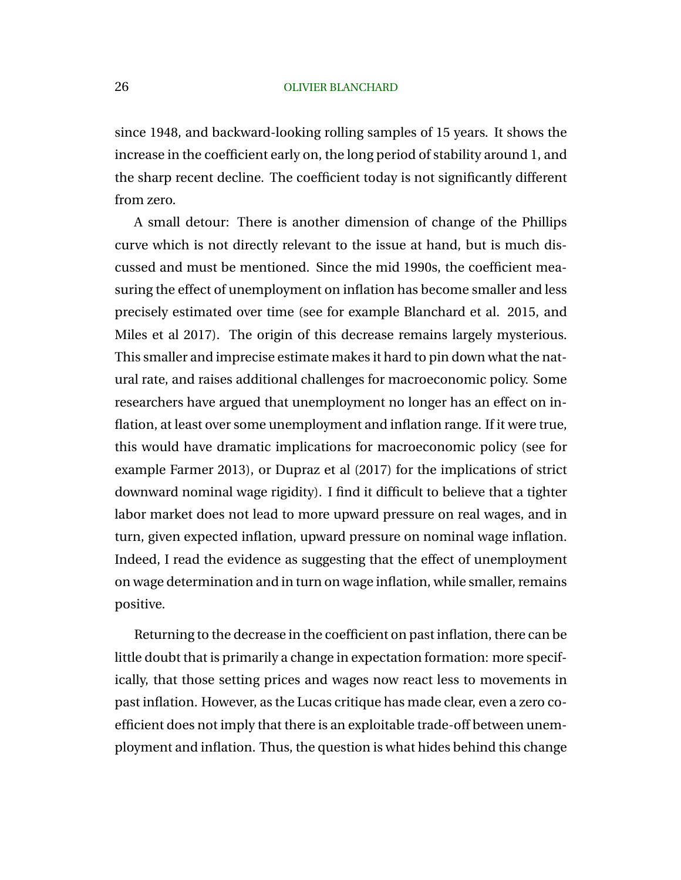since 1948, and backward-looking rolling samples of 15 years. It shows the increase in the coefficient early on, the long period of stability around 1, and the sharp recent decline. The coefficient today is not significantly different from zero.

A small detour: There is another dimension of change of the Phillips curve which is not directly relevant to the issue at hand, but is much discussed and must be mentioned. Since the mid 1990s, the coefficient measuring the effect of unemployment on inflation has become smaller and less precisely estimated over time (see for example Blanchard et al. 2015, and Miles et al 2017). The origin of this decrease remains largely mysterious. This smaller and imprecise estimate makes it hard to pin down what the natural rate, and raises additional challenges for macroeconomic policy. Some researchers have argued that unemployment no longer has an effect on inflation, at least over some unemployment and inflation range. If it were true, this would have dramatic implications for macroeconomic policy (see for example Farmer 2013), or Dupraz et al (2017) for the implications of strict downward nominal wage rigidity). I find it difficult to believe that a tighter labor market does not lead to more upward pressure on real wages, and in turn, given expected inflation, upward pressure on nominal wage inflation. Indeed, I read the evidence as suggesting that the effect of unemployment on wage determination and in turn on wage inflation, while smaller, remains positive.

Returning to the decrease in the coefficient on past inflation, there can be little doubt that is primarily a change in expectation formation: more specifically, that those setting prices and wages now react less to movements in past inflation. However, as the Lucas critique has made clear, even a zero coefficient does not imply that there is an exploitable trade-off between unemployment and inflation. Thus, the question is what hides behind this change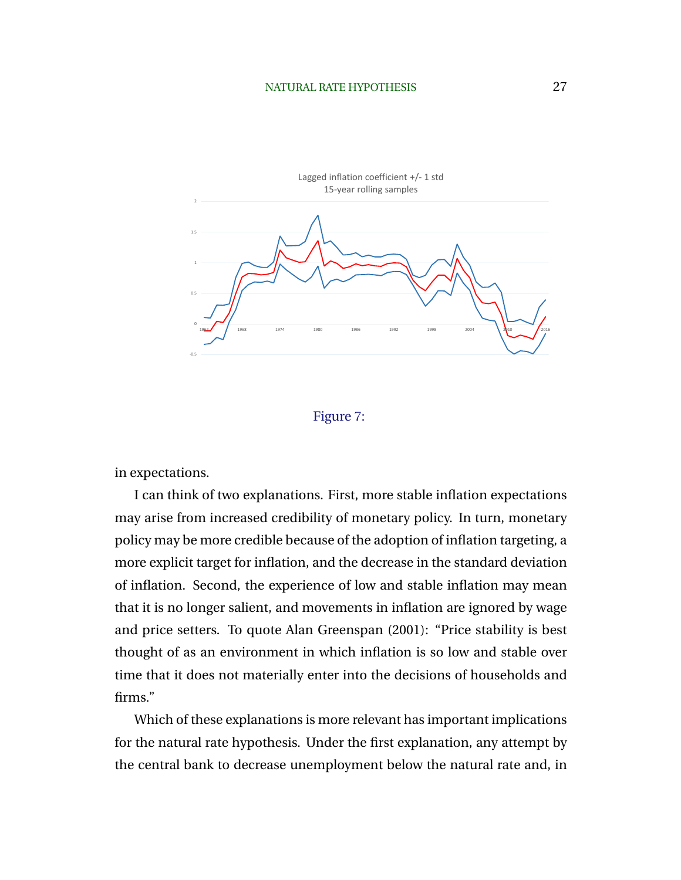

# Figure 7:

in expectations.

I can think of two explanations. First, more stable inflation expectations may arise from increased credibility of monetary policy. In turn, monetary policy may be more credible because of the adoption of inflation targeting, a more explicit target for inflation, and the decrease in the standard deviation of inflation. Second, the experience of low and stable inflation may mean that it is no longer salient, and movements in inflation are ignored by wage and price setters. To quote Alan Greenspan (2001): "Price stability is best thought of as an environment in which inflation is so low and stable over time that it does not materially enter into the decisions of households and firms."

Which of these explanations is more relevant has important implications for the natural rate hypothesis. Under the first explanation, any attempt by the central bank to decrease unemployment below the natural rate and, in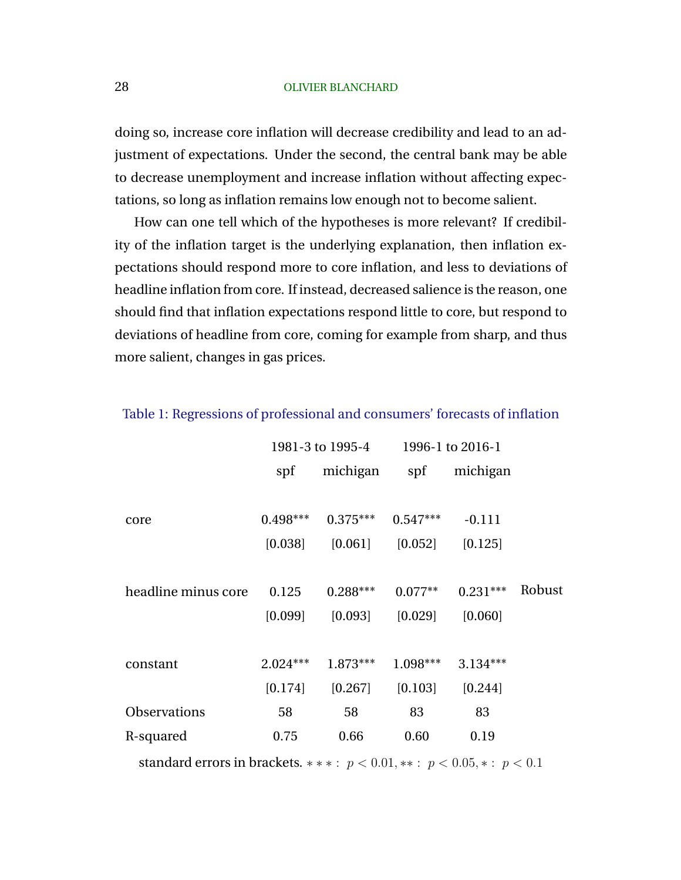doing so, increase core inflation will decrease credibility and lead to an adjustment of expectations. Under the second, the central bank may be able to decrease unemployment and increase inflation without affecting expectations, so long as inflation remains low enough not to become salient.

How can one tell which of the hypotheses is more relevant? If credibility of the inflation target is the underlying explanation, then inflation expectations should respond more to core inflation, and less to deviations of headline inflation from core. If instead, decreased salience is the reason, one should find that inflation expectations respond little to core, but respond to deviations of headline from core, coming for example from sharp, and thus more salient, changes in gas prices.

|                                                                              | 1981-3 to 1995-4 |            | 1996-1 to 2016-1 |            |        |
|------------------------------------------------------------------------------|------------------|------------|------------------|------------|--------|
|                                                                              | spf              | michigan   | spf              | michigan   |        |
|                                                                              |                  |            |                  |            |        |
| core                                                                         | $0.498***$       | $0.375***$ | $0.547***$       | $-0.111$   |        |
|                                                                              | [0.038]          | [0.061]    | [0.052]          | [0.125]    |        |
|                                                                              |                  |            |                  |            |        |
| headline minus core                                                          | 0.125            | $0.288***$ | $0.077**$        | $0.231***$ | Robust |
|                                                                              | [0.099]          | [0.093]    | [0.029]          | [0.060]    |        |
|                                                                              |                  |            |                  |            |        |
| constant                                                                     | $2.024***$       | $1.873***$ | $1.098***$       | $3.134***$ |        |
|                                                                              | [0.174]          | [0.267]    | [0.103]          | [0.244]    |        |
| <b>Observations</b>                                                          | 58               | 58         | 83               | 83         |        |
| R-squared                                                                    | 0.75             | 0.66       | 0.60             | 0.19       |        |
| standard errors in brackets. ***: $p < 0.01$ , **: $p < 0.05$ , *: $p < 0.1$ |                  |            |                  |            |        |

Table 1: Regressions of professional and consumers' forecasts of inflation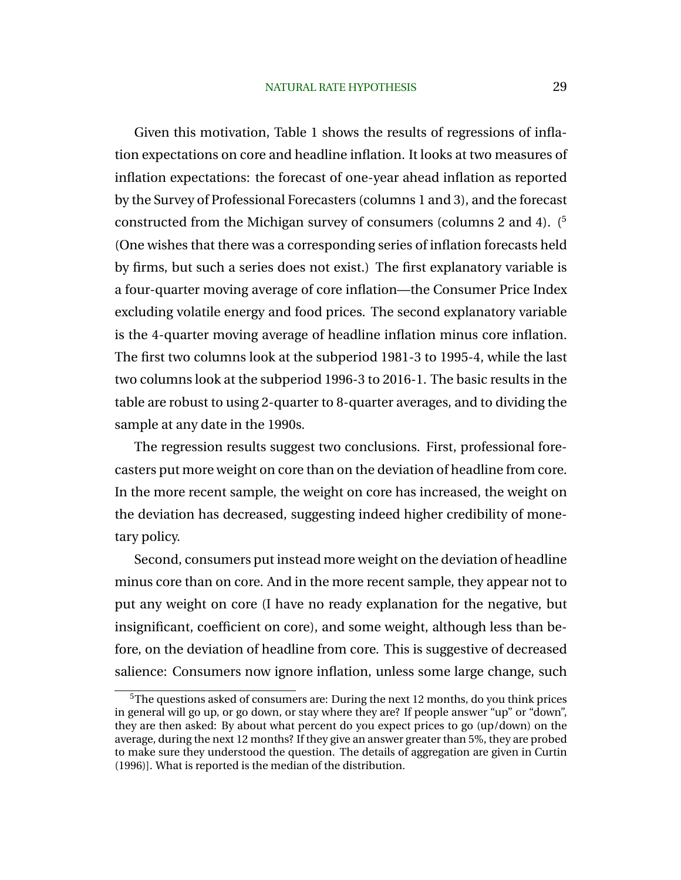Given this motivation, Table 1 shows the results of regressions of inflation expectations on core and headline inflation. It looks at two measures of inflation expectations: the forecast of one-year ahead inflation as reported by the Survey of Professional Forecasters (columns 1 and 3), and the forecast constructed from the Michigan survey of consumers (columns 2 and 4).  $(5)$ (One wishes that there was a corresponding series of inflation forecasts held by firms, but such a series does not exist.) The first explanatory variable is a four-quarter moving average of core inflation—the Consumer Price Index excluding volatile energy and food prices. The second explanatory variable is the 4-quarter moving average of headline inflation minus core inflation. The first two columns look at the subperiod 1981-3 to 1995-4, while the last two columns look at the subperiod 1996-3 to 2016-1. The basic results in the table are robust to using 2-quarter to 8-quarter averages, and to dividing the sample at any date in the 1990s.

The regression results suggest two conclusions. First, professional forecasters put more weight on core than on the deviation of headline from core. In the more recent sample, the weight on core has increased, the weight on the deviation has decreased, suggesting indeed higher credibility of monetary policy.

Second, consumers put instead more weight on the deviation of headline minus core than on core. And in the more recent sample, they appear not to put any weight on core (I have no ready explanation for the negative, but insignificant, coefficient on core), and some weight, although less than before, on the deviation of headline from core. This is suggestive of decreased salience: Consumers now ignore inflation, unless some large change, such

<sup>5</sup>The questions asked of consumers are: During the next 12 months, do you think prices in general will go up, or go down, or stay where they are? If people answer "up" or "down", they are then asked: By about what percent do you expect prices to go (up/down) on the average, during the next 12 months? If they give an answer greater than 5%, they are probed to make sure they understood the question. The details of aggregation are given in Curtin (1996)]. What is reported is the median of the distribution.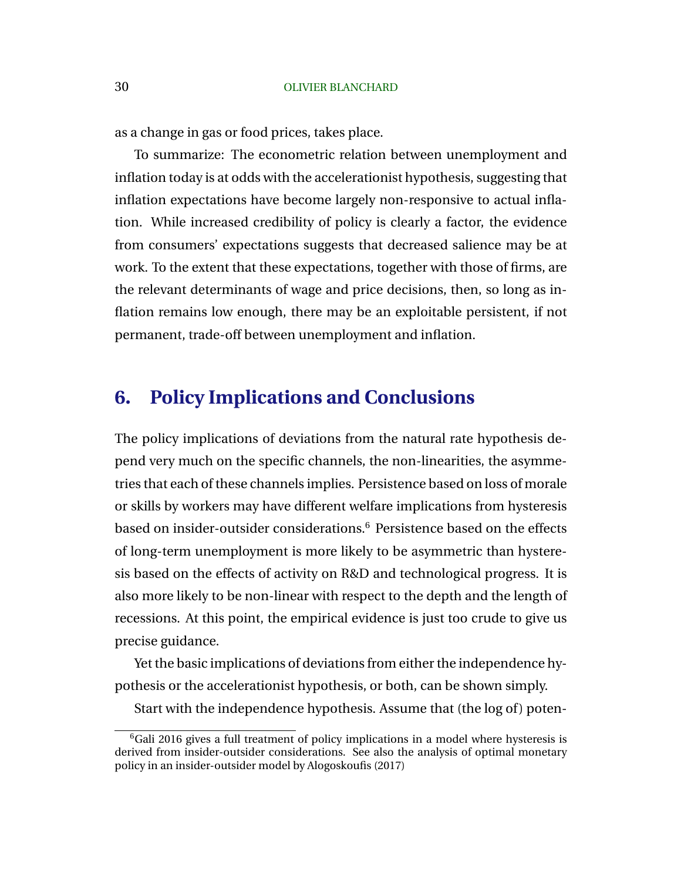as a change in gas or food prices, takes place.

To summarize: The econometric relation between unemployment and inflation today is at odds with the accelerationist hypothesis, suggesting that inflation expectations have become largely non-responsive to actual inflation. While increased credibility of policy is clearly a factor, the evidence from consumers' expectations suggests that decreased salience may be at work. To the extent that these expectations, together with those of firms, are the relevant determinants of wage and price decisions, then, so long as inflation remains low enough, there may be an exploitable persistent, if not permanent, trade-off between unemployment and inflation.

# **6. Policy Implications and Conclusions**

The policy implications of deviations from the natural rate hypothesis depend very much on the specific channels, the non-linearities, the asymmetries that each of these channels implies. Persistence based on loss of morale or skills by workers may have different welfare implications from hysteresis based on insider-outsider considerations.<sup>6</sup> Persistence based on the effects of long-term unemployment is more likely to be asymmetric than hysteresis based on the effects of activity on R&D and technological progress. It is also more likely to be non-linear with respect to the depth and the length of recessions. At this point, the empirical evidence is just too crude to give us precise guidance.

Yet the basic implications of deviations from either the independence hypothesis or the accelerationist hypothesis, or both, can be shown simply.

Start with the independence hypothesis. Assume that (the log of) poten-

 ${}^{6}$ Gali 2016 gives a full treatment of policy implications in a model where hysteresis is derived from insider-outsider considerations. See also the analysis of optimal monetary policy in an insider-outsider model by Alogoskoufis (2017)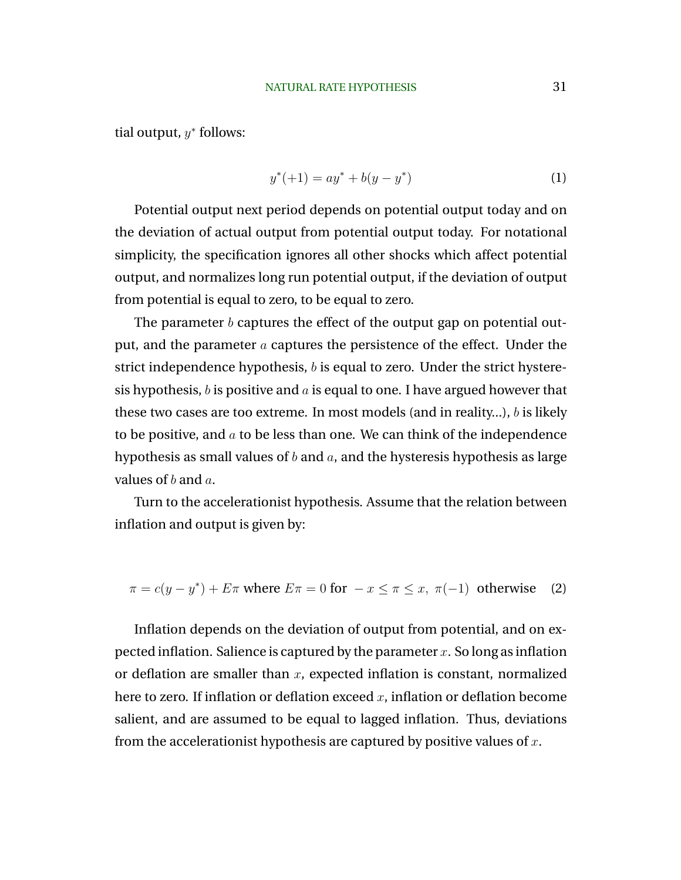<span id="page-31-0"></span>tial output,  $y^*$  follows:

$$
y^*(+1) = ay^* + b(y - y^*)
$$
 (1)

Potential output next period depends on potential output today and on the deviation of actual output from potential output today. For notational simplicity, the specification ignores all other shocks which affect potential output, and normalizes long run potential output, if the deviation of output from potential is equal to zero, to be equal to zero.

The parameter  $b$  captures the effect of the output gap on potential output, and the parameter  $\alpha$  captures the persistence of the effect. Under the strict independence hypothesis, b is equal to zero. Under the strict hysteresis hypothesis, b is positive and a is equal to one. I have argued however that these two cases are too extreme. In most models (and in reality...), b is likely to be positive, and  $\alpha$  to be less than one. We can think of the independence hypothesis as small values of  $b$  and  $a$ , and the hysteresis hypothesis as large values of  $b$  and  $a$ .

Turn to the accelerationist hypothesis. Assume that the relation between inflation and output is given by:

$$
\pi = c(y - y^*) + E\pi \text{ where } E\pi = 0 \text{ for } -x \le \pi \le x, \ \pi(-1) \text{ otherwise } (2)
$$

Inflation depends on the deviation of output from potential, and on expected inflation. Salience is captured by the parameter x. So long as inflation or deflation are smaller than  $x$ , expected inflation is constant, normalized here to zero. If inflation or deflation exceed  $x$ , inflation or deflation become salient, and are assumed to be equal to lagged inflation. Thus, deviations from the accelerationist hypothesis are captured by positive values of  $x$ .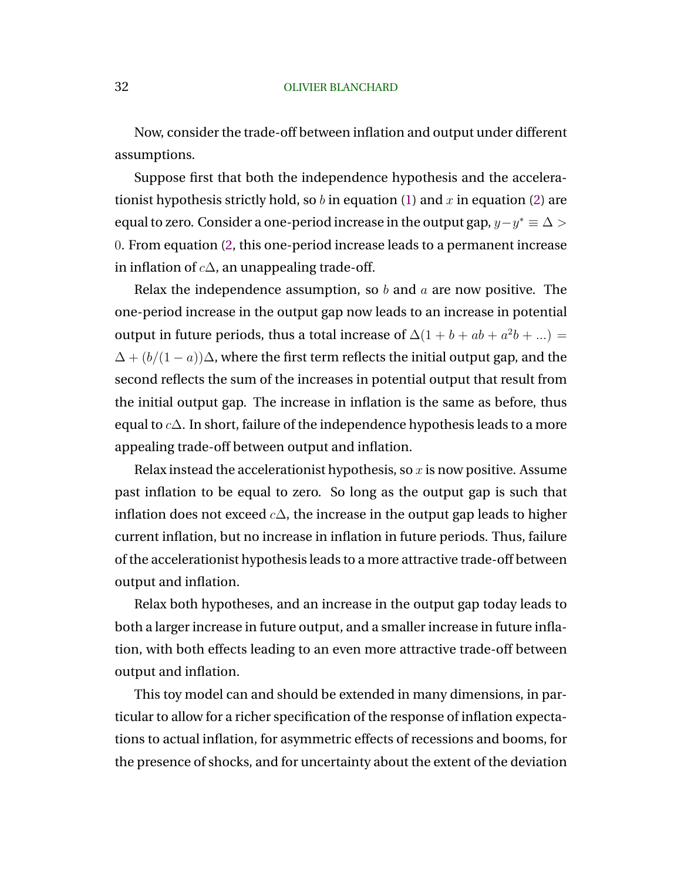Now, consider the trade-off between inflation and output under different assumptions.

Suppose first that both the independence hypothesis and the accelerationist hypothesis strictly hold, so  $b$  in equation [\(1\)](#page-31-0) and  $x$  in equation [\(2\)](#page-31-0) are equal to zero. Consider a one-period increase in the output gap,  $y - y^* \equiv \Delta > 0$ 0. From equation [\(2,](#page-31-0) this one-period increase leads to a permanent increase in inflation of  $c\Delta$ , an unappealing trade-off.

Relax the independence assumption, so  $b$  and  $a$  are now positive. The one-period increase in the output gap now leads to an increase in potential output in future periods, thus a total increase of  $\Delta(1 + b + ab + a^2b + ...)$  $\Delta + (b/(1-a))\Delta$ , where the first term reflects the initial output gap, and the second reflects the sum of the increases in potential output that result from the initial output gap. The increase in inflation is the same as before, thus equal to  $c\Delta$ . In short, failure of the independence hypothesis leads to a more appealing trade-off between output and inflation.

Relax instead the accelerationist hypothesis, so  $x$  is now positive. Assume past inflation to be equal to zero. So long as the output gap is such that inflation does not exceed  $c\Delta$ , the increase in the output gap leads to higher current inflation, but no increase in inflation in future periods. Thus, failure of the accelerationist hypothesis leads to a more attractive trade-off between output and inflation.

Relax both hypotheses, and an increase in the output gap today leads to both a larger increase in future output, and a smaller increase in future inflation, with both effects leading to an even more attractive trade-off between output and inflation.

This toy model can and should be extended in many dimensions, in particular to allow for a richer specification of the response of inflation expectations to actual inflation, for asymmetric effects of recessions and booms, for the presence of shocks, and for uncertainty about the extent of the deviation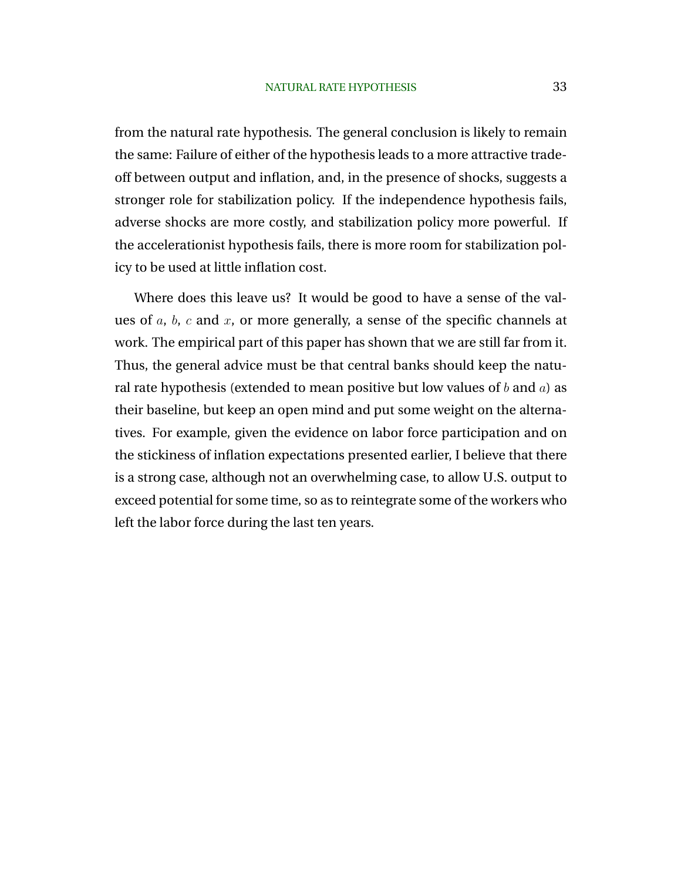from the natural rate hypothesis. The general conclusion is likely to remain the same: Failure of either of the hypothesis leads to a more attractive tradeoff between output and inflation, and, in the presence of shocks, suggests a stronger role for stabilization policy. If the independence hypothesis fails, adverse shocks are more costly, and stabilization policy more powerful. If the accelerationist hypothesis fails, there is more room for stabilization policy to be used at little inflation cost.

Where does this leave us? It would be good to have a sense of the values of  $a$ ,  $b$ ,  $c$  and  $x$ , or more generally, a sense of the specific channels at work. The empirical part of this paper has shown that we are still far from it. Thus, the general advice must be that central banks should keep the natural rate hypothesis (extended to mean positive but low values of  $b$  and  $a$ ) as their baseline, but keep an open mind and put some weight on the alternatives. For example, given the evidence on labor force participation and on the stickiness of inflation expectations presented earlier, I believe that there is a strong case, although not an overwhelming case, to allow U.S. output to exceed potential for some time, so as to reintegrate some of the workers who left the labor force during the last ten years.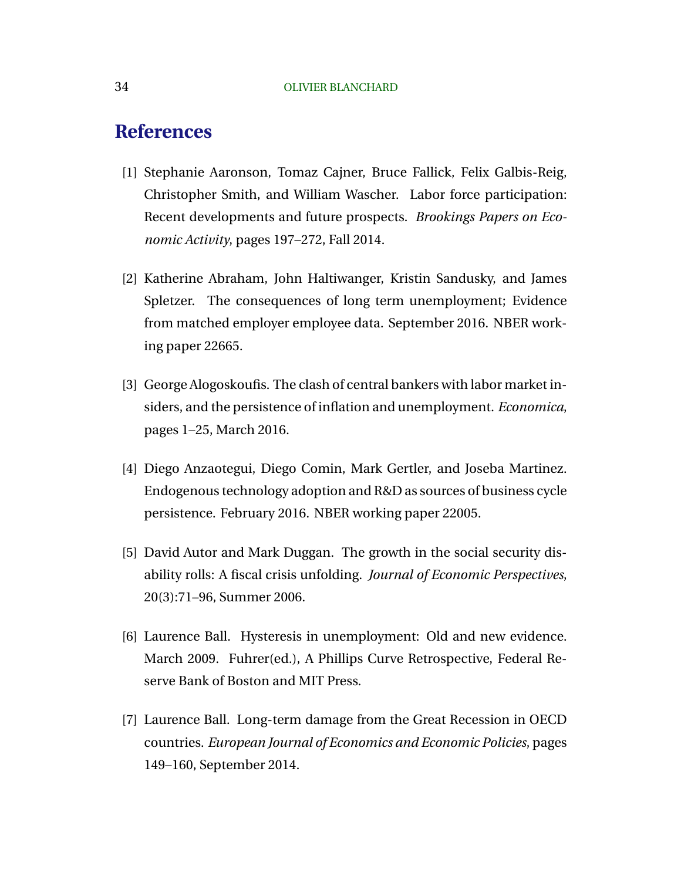# **References**

- [1] Stephanie Aaronson, Tomaz Cajner, Bruce Fallick, Felix Galbis-Reig, Christopher Smith, and William Wascher. Labor force participation: Recent developments and future prospects. *Brookings Papers on Economic Activity*, pages 197–272, Fall 2014.
- [2] Katherine Abraham, John Haltiwanger, Kristin Sandusky, and James Spletzer. The consequences of long term unemployment; Evidence from matched employer employee data. September 2016. NBER working paper 22665.
- [3] George Alogoskoufis. The clash of central bankers with labor market insiders, and the persistence of inflation and unemployment. *Economica*, pages 1–25, March 2016.
- [4] Diego Anzaotegui, Diego Comin, Mark Gertler, and Joseba Martinez. Endogenous technology adoption and R&D as sources of business cycle persistence. February 2016. NBER working paper 22005.
- [5] David Autor and Mark Duggan. The growth in the social security disability rolls: A fiscal crisis unfolding. *Journal of Economic Perspectives*, 20(3):71–96, Summer 2006.
- [6] Laurence Ball. Hysteresis in unemployment: Old and new evidence. March 2009. Fuhrer(ed.), A Phillips Curve Retrospective, Federal Reserve Bank of Boston and MIT Press.
- [7] Laurence Ball. Long-term damage from the Great Recession in OECD countries. *European Journal of Economics and Economic Policies*, pages 149–160, September 2014.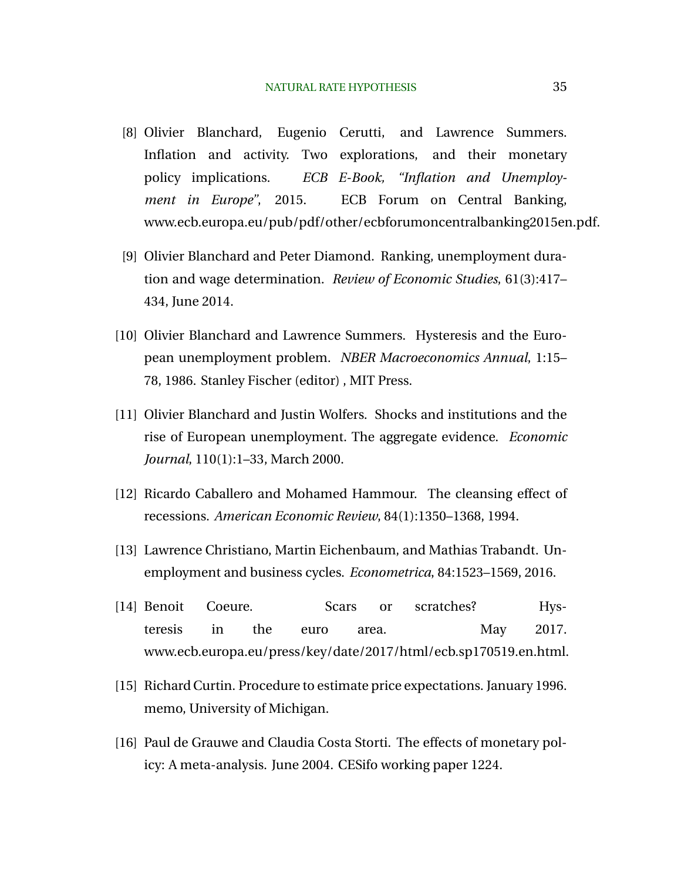- [8] Olivier Blanchard, Eugenio Cerutti, and Lawrence Summers. Inflation and activity. Two explorations, and their monetary policy implications. *ECB E-Book, "Inflation and Unemployment in Europe"*, 2015. ECB Forum on Central Banking, www.ecb.europa.eu/pub/pdf/other/ecbforumoncentralbanking2015en.pdf.
- [9] Olivier Blanchard and Peter Diamond. Ranking, unemployment duration and wage determination. *Review of Economic Studies*, 61(3):417– 434, June 2014.
- [10] Olivier Blanchard and Lawrence Summers. Hysteresis and the European unemployment problem. *NBER Macroeconomics Annual*, 1:15– 78, 1986. Stanley Fischer (editor) , MIT Press.
- [11] Olivier Blanchard and Justin Wolfers. Shocks and institutions and the rise of European unemployment. The aggregate evidence. *Economic Journal*, 110(1):1–33, March 2000.
- [12] Ricardo Caballero and Mohamed Hammour. The cleansing effect of recessions. *American Economic Review*, 84(1):1350–1368, 1994.
- [13] Lawrence Christiano, Martin Eichenbaum, and Mathias Trabandt. Unemployment and business cycles. *Econometrica*, 84:1523–1569, 2016.
- [14] Benoit Coeure. Scars or scratches? Hysteresis in the euro area. May 2017. www.ecb.europa.eu/press/key/date/2017/html/ecb.sp170519.en.html.
- [15] Richard Curtin. Procedure to estimate price expectations. January 1996. memo, University of Michigan.
- [16] Paul de Grauwe and Claudia Costa Storti. The effects of monetary policy: A meta-analysis. June 2004. CESifo working paper 1224.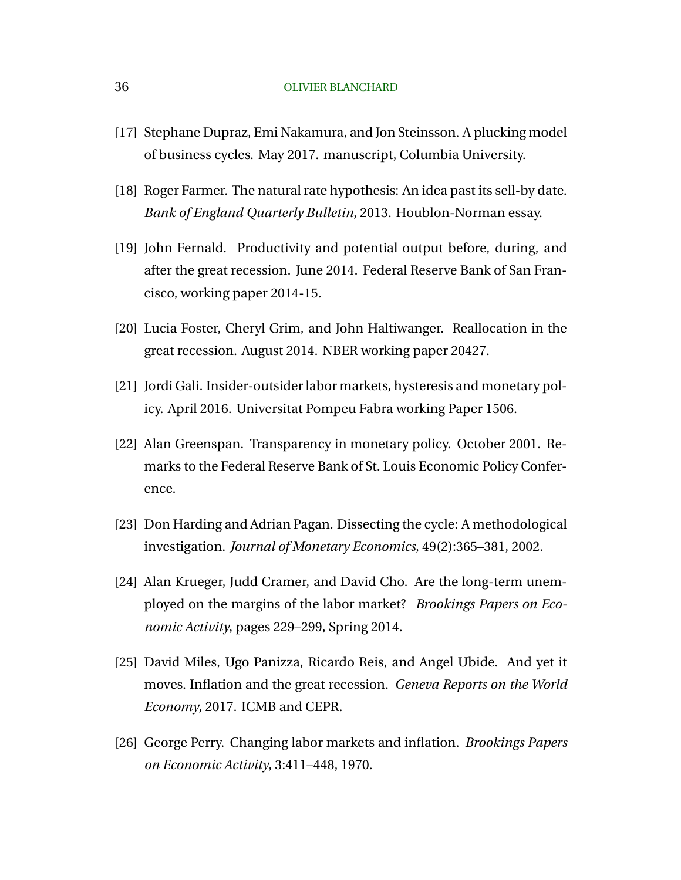- [17] Stephane Dupraz, Emi Nakamura, and Jon Steinsson. A plucking model of business cycles. May 2017. manuscript, Columbia University.
- [18] Roger Farmer. The natural rate hypothesis: An idea past its sell-by date. *Bank of England Quarterly Bulletin*, 2013. Houblon-Norman essay.
- [19] John Fernald. Productivity and potential output before, during, and after the great recession. June 2014. Federal Reserve Bank of San Francisco, working paper 2014-15.
- [20] Lucia Foster, Cheryl Grim, and John Haltiwanger. Reallocation in the great recession. August 2014. NBER working paper 20427.
- [21] Jordi Gali. Insider-outsider labor markets, hysteresis and monetary policy. April 2016. Universitat Pompeu Fabra working Paper 1506.
- [22] Alan Greenspan. Transparency in monetary policy. October 2001. Remarks to the Federal Reserve Bank of St. Louis Economic Policy Conference.
- [23] Don Harding and Adrian Pagan. Dissecting the cycle: A methodological investigation. *Journal of Monetary Economics*, 49(2):365–381, 2002.
- [24] Alan Krueger, Judd Cramer, and David Cho. Are the long-term unemployed on the margins of the labor market? *Brookings Papers on Economic Activity*, pages 229–299, Spring 2014.
- [25] David Miles, Ugo Panizza, Ricardo Reis, and Angel Ubide. And yet it moves. Inflation and the great recession. *Geneva Reports on the World Economy*, 2017. ICMB and CEPR.
- [26] George Perry. Changing labor markets and inflation. *Brookings Papers on Economic Activity*, 3:411–448, 1970.